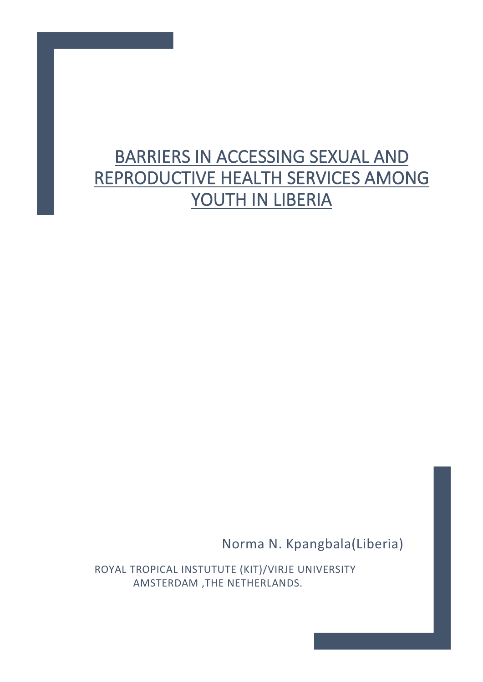# BARRIERS IN ACCESSING SEXUAL AND REPRODUCTIVE HEALTH SERVICES AMONG YOUTH IN LIBERIA

Norma N. Kpangbala(Liberia)

 ROYAL TROPICAL INSTUTUTE (KIT)/VIRJE UNIVERSITY AMSTERDAM ,THE NETHERLANDS.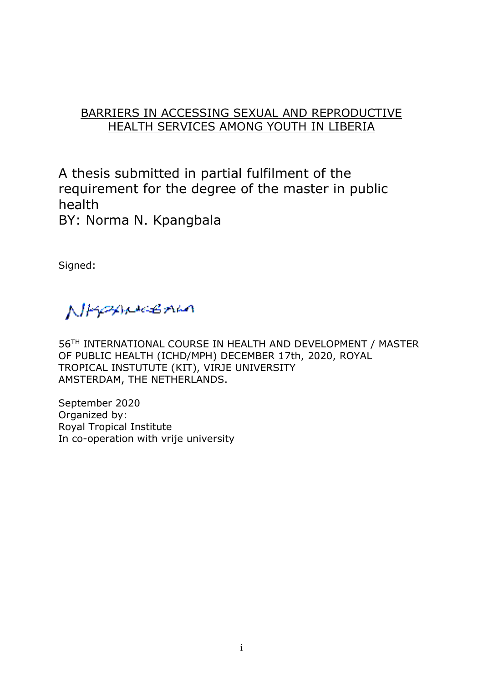## BARRIERS IN ACCESSING SEXUAL AND REPRODUCTIVE HEALTH SERVICES AMONG YOUTH IN LIBERIA

A thesis submitted in partial fulfilment of the requirement for the degree of the master in public health BY: Norma N. Kpangbala

Signed:

NHOWLEAU

56TH INTERNATIONAL COURSE IN HEALTH AND DEVELOPMENT / MASTER OF PUBLIC HEALTH (ICHD/MPH) DECEMBER 17th, 2020, ROYAL TROPICAL INSTUTUTE (KIT), VIRJE UNIVERSITY AMSTERDAM, THE NETHERLANDS.

September 2020 Organized by: Royal Tropical Institute In co-operation with vrije university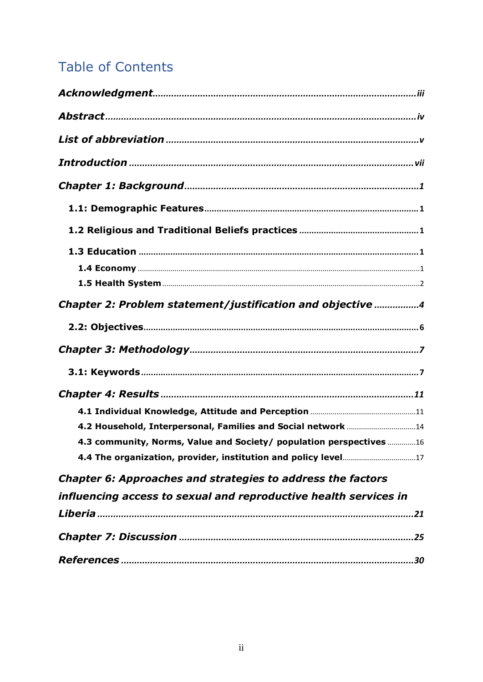## **Table of Contents**

| Chapter 2: Problem statement/justification and objective 4          |  |
|---------------------------------------------------------------------|--|
|                                                                     |  |
|                                                                     |  |
|                                                                     |  |
|                                                                     |  |
|                                                                     |  |
|                                                                     |  |
| 4.3 community, Norms, Value and Society/ population perspectives 16 |  |
|                                                                     |  |
| Chapter 6: Approaches and strategies to address the factors         |  |
| influencing access to sexual and reproductive health services in    |  |
|                                                                     |  |
|                                                                     |  |
|                                                                     |  |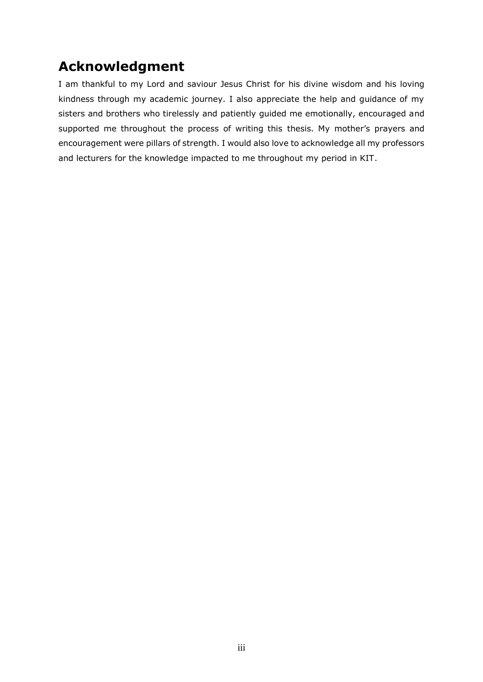## <span id="page-3-0"></span>**Acknowledgment**

I am thankful to my Lord and saviour Jesus Christ for his divine wisdom and his loving kindness through my academic journey. I also appreciate the help and guidance of my sisters and brothers who tirelessly and patiently guided me emotionally, encouraged and supported me throughout the process of writing this thesis. My mother's prayers and encouragement were pillars of strength. I would also love to acknowledge all my professors and lecturers for the knowledge impacted to me throughout my period in KIT.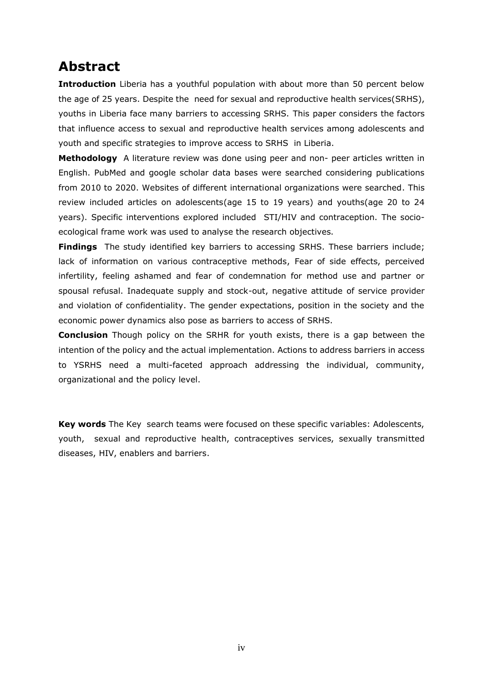## <span id="page-4-0"></span>**Abstract**

**Introduction** Liberia has a youthful population with about more than 50 percent below the age of 25 years. Despite the need for sexual and reproductive health services(SRHS), youths in Liberia face many barriers to accessing SRHS. This paper considers the factors that influence access to sexual and reproductive health services among adolescents and youth and specific strategies to improve access to SRHS in Liberia.

**Methodology** A literature review was done using peer and non- peer articles written in English. PubMed and google scholar data bases were searched considering publications from 2010 to 2020. Websites of different international organizations were searched. This review included articles on adolescents(age 15 to 19 years) and youths(age 20 to 24 years). Specific interventions explored included STI/HIV and contraception. The socioecological frame work was used to analyse the research objectives.

**Findings** The study identified key barriers to accessing SRHS. These barriers include; lack of information on various contraceptive methods, Fear of side effects, perceived infertility, feeling ashamed and fear of condemnation for method use and partner or spousal refusal. Inadequate supply and stock-out, negative attitude of service provider and violation of confidentiality. The gender expectations, position in the society and the economic power dynamics also pose as barriers to access of SRHS.

**Conclusion** Though policy on the SRHR for youth exists, there is a gap between the intention of the policy and the actual implementation. Actions to address barriers in access to YSRHS need a multi-faceted approach addressing the individual, community, organizational and the policy level.

**Key words** The Key search teams were focused on these specific variables: Adolescents, youth, sexual and reproductive health, contraceptives services, sexually transmitted diseases, HIV, enablers and barriers.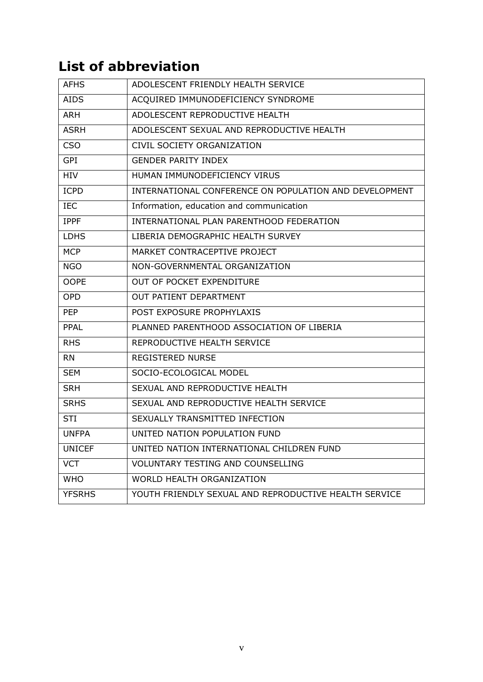## <span id="page-5-0"></span>**List of abbreviation**

| ADOLESCENT FRIENDLY HEALTH SERVICE                     |
|--------------------------------------------------------|
| ACQUIRED IMMUNODEFICIENCY SYNDROME                     |
| ADOLESCENT REPRODUCTIVE HEALTH                         |
| ADOLESCENT SEXUAL AND REPRODUCTIVE HEALTH              |
| CIVIL SOCIETY ORGANIZATION                             |
| <b>GENDER PARITY INDEX</b>                             |
| HUMAN IMMUNODEFICIENCY VIRUS                           |
| INTERNATIONAL CONFERENCE ON POPULATION AND DEVELOPMENT |
| Information, education and communication               |
| INTERNATIONAL PLAN PARENTHOOD FEDERATION               |
| LIBERIA DEMOGRAPHIC HEALTH SURVEY                      |
| MARKET CONTRACEPTIVE PROJECT                           |
| NON-GOVERNMENTAL ORGANIZATION                          |
| OUT OF POCKET EXPENDITURE                              |
| OUT PATIENT DEPARTMENT                                 |
| POST EXPOSURE PROPHYLAXIS                              |
| PLANNED PARENTHOOD ASSOCIATION OF LIBERIA              |
| REPRODUCTIVE HEALTH SERVICE                            |
| <b>REGISTERED NURSE</b>                                |
| SOCIO-ECOLOGICAL MODEL                                 |
| SEXUAL AND REPRODUCTIVE HEALTH                         |
| SEXUAL AND REPRODUCTIVE HEALTH SERVICE                 |
| SEXUALLY TRANSMITTED INFECTION                         |
| UNITED NATION POPULATION FUND                          |
| UNITED NATION INTERNATIONAL CHILDREN FUND              |
| <b>VOLUNTARY TESTING AND COUNSELLING</b>               |
| WORLD HEALTH ORGANIZATION                              |
| YOUTH FRIENDLY SEXUAL AND REPRODUCTIVE HEALTH SERVICE  |
|                                                        |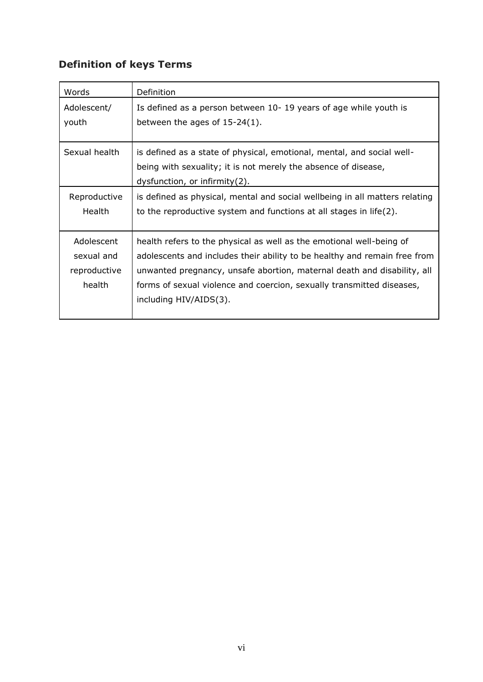## **Definition of keys Terms**

| Words                                              | Definition                                                                                                                                                                                                                                                                                                                      |
|----------------------------------------------------|---------------------------------------------------------------------------------------------------------------------------------------------------------------------------------------------------------------------------------------------------------------------------------------------------------------------------------|
| Adolescent/<br>youth                               | Is defined as a person between 10-19 years of age while youth is<br>between the ages of $15-24(1)$ .                                                                                                                                                                                                                            |
| Sexual health                                      | is defined as a state of physical, emotional, mental, and social well-<br>being with sexuality; it is not merely the absence of disease,<br>$dy$ sfunction, or infirmity $(2)$ .                                                                                                                                                |
| Reproductive<br>Health                             | is defined as physical, mental and social wellbeing in all matters relating<br>to the reproductive system and functions at all stages in life(2).                                                                                                                                                                               |
| Adolescent<br>sexual and<br>reproductive<br>health | health refers to the physical as well as the emotional well-being of<br>adolescents and includes their ability to be healthy and remain free from<br>unwanted pregnancy, unsafe abortion, maternal death and disability, all<br>forms of sexual violence and coercion, sexually transmitted diseases,<br>including HIV/AIDS(3). |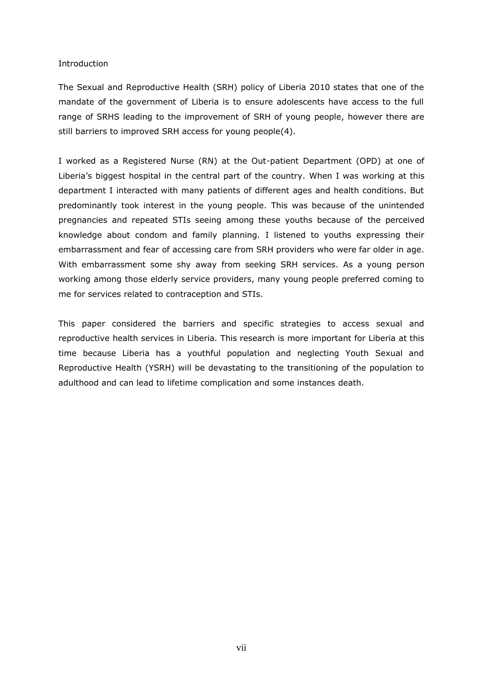#### <span id="page-7-0"></span>Introduction

The Sexual and Reproductive Health (SRH) policy of Liberia 2010 states that one of the mandate of the government of Liberia is to ensure adolescents have access to the full range of SRHS leading to the improvement of SRH of young people, however there are still barriers to improved SRH access for young people(4).

I worked as a Registered Nurse (RN) at the Out-patient Department (OPD) at one of Liberia's biggest hospital in the central part of the country. When I was working at this department I interacted with many patients of different ages and health conditions. But predominantly took interest in the young people. This was because of the unintended pregnancies and repeated STIs seeing among these youths because of the perceived knowledge about condom and family planning. I listened to youths expressing their embarrassment and fear of accessing care from SRH providers who were far older in age. With embarrassment some shy away from seeking SRH services. As a young person working among those elderly service providers, many young people preferred coming to me for services related to contraception and STIs.

This paper considered the barriers and specific strategies to access sexual and reproductive health services in Liberia. This research is more important for Liberia at this time because Liberia has a youthful population and neglecting Youth Sexual and Reproductive Health (YSRH) will be devastating to the transitioning of the population to adulthood and can lead to lifetime complication and some instances death.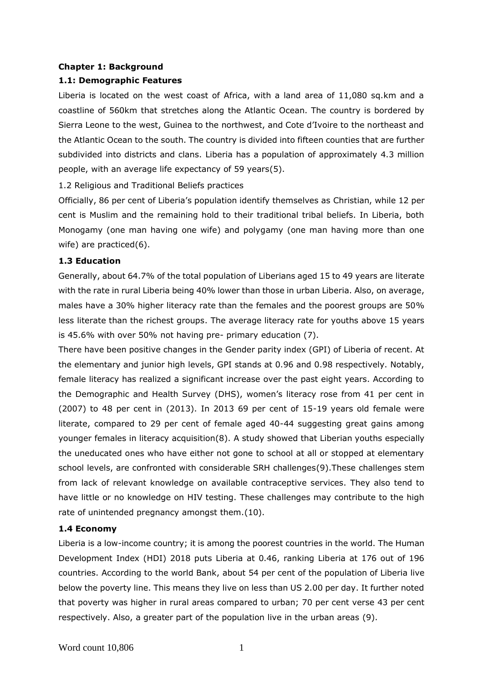## <span id="page-8-0"></span>**Chapter 1: Background**

### <span id="page-8-1"></span>**1.1: Demographic Features**

Liberia is located on the west coast of Africa, with a land area of 11,080 sq.km and a coastline of 560km that stretches along the Atlantic Ocean. The country is bordered by Sierra Leone to the west, Guinea to the northwest, and Cote d'Ivoire to the northeast and the Atlantic Ocean to the south. The country is divided into fifteen counties that are further subdivided into districts and clans. Liberia has a population of approximately 4.3 million people, with an average life expectancy of 59 years(5).

<span id="page-8-2"></span>1.2 Religious and Traditional Beliefs practices

Officially, 86 per cent of Liberia's population identify themselves as Christian, while 12 per cent is Muslim and the remaining hold to their traditional tribal beliefs. In Liberia, both Monogamy (one man having one wife) and polygamy (one man having more than one wife) are practiced(6).

### <span id="page-8-3"></span>**1.3 Education**

Generally, about 64.7% of the total population of Liberians aged 15 to 49 years are literate with the rate in rural Liberia being 40% lower than those in urban Liberia. Also, on average, males have a 30% higher literacy rate than the females and the poorest groups are 50% less literate than the richest groups. The average literacy rate for youths above 15 years is 45.6% with over 50% not having pre- primary education (7).

There have been positive changes in the Gender parity index (GPI) of Liberia of recent. At the elementary and junior high levels, GPI stands at 0.96 and 0.98 respectively. Notably, female literacy has realized a significant increase over the past eight years. According to the Demographic and Health Survey (DHS), women's literacy rose from 41 per cent in (2007) to 48 per cent in (2013). In 2013 69 per cent of 15-19 years old female were literate, compared to 29 per cent of female aged 40-44 suggesting great gains among younger females in literacy acquisition(8). A study showed that Liberian youths especially the uneducated ones who have either not gone to school at all or stopped at elementary school levels, are confronted with considerable SRH challenges(9).These challenges stem from lack of relevant knowledge on available contraceptive services. They also tend to have little or no knowledge on HIV testing. These challenges may contribute to the high rate of unintended pregnancy amongst them.(10).

## <span id="page-8-4"></span>**1.4 Economy**

Liberia is a low-income country; it is among the poorest countries in the world. The Human Development Index (HDI) 2018 puts Liberia at 0.46, ranking Liberia at 176 out of 196 countries. According to the world Bank, about 54 per cent of the population of Liberia live below the poverty line. This means they live on less than US 2.00 per day. It further noted that poverty was higher in rural areas compared to urban; 70 per cent verse 43 per cent respectively. Also, a greater part of the population live in the urban areas (9).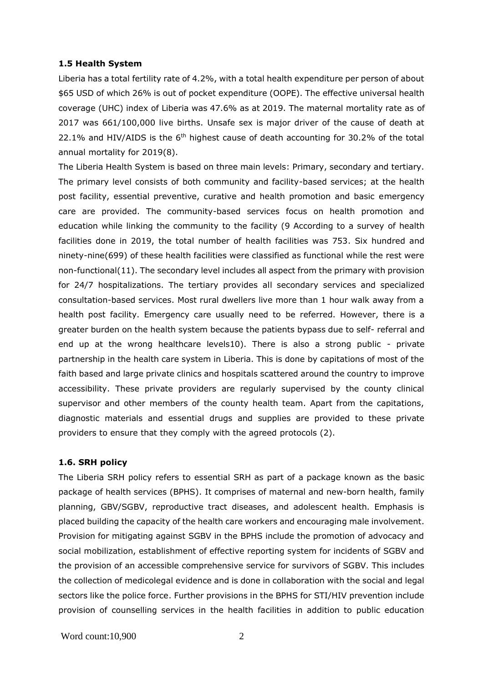#### <span id="page-9-0"></span>**1.5 Health System**

Liberia has a total fertility rate of 4.2%, with a total health expenditure per person of about \$65 USD of which 26% is out of pocket expenditure (OOPE). The effective universal health coverage (UHC) index of Liberia was 47.6% as at 2019. The maternal mortality rate as of 2017 was 661/100,000 live births. Unsafe sex is major driver of the cause of death at 22.1% and HIV/AIDS is the  $6<sup>th</sup>$  highest cause of death accounting for 30.2% of the total annual mortality for 2019(8).

The Liberia Health System is based on three main levels: Primary, secondary and tertiary. The primary level consists of both community and facility-based services; at the health post facility, essential preventive, curative and health promotion and basic emergency care are provided. The community-based services focus on health promotion and education while linking the community to the facility (9 According to a survey of health facilities done in 2019, the total number of health facilities was 753. Six hundred and ninety-nine(699) of these health facilities were classified as functional while the rest were non-functional(11). The secondary level includes all aspect from the primary with provision for 24/7 hospitalizations. The tertiary provides all secondary services and specialized consultation-based services. Most rural dwellers live more than 1 hour walk away from a health post facility. Emergency care usually need to be referred. However, there is a greater burden on the health system because the patients bypass due to self- referral and end up at the wrong healthcare levels10). There is also a strong public - private partnership in the health care system in Liberia. This is done by capitations of most of the faith based and large private clinics and hospitals scattered around the country to improve accessibility. These private providers are regularly supervised by the county clinical supervisor and other members of the county health team. Apart from the capitations, diagnostic materials and essential drugs and supplies are provided to these private providers to ensure that they comply with the agreed protocols (2).

#### **1.6. SRH policy**

The Liberia SRH policy refers to essential SRH as part of a package known as the basic package of health services (BPHS). It comprises of maternal and new-born health, family planning, GBV/SGBV, reproductive tract diseases, and adolescent health. Emphasis is placed building the capacity of the health care workers and encouraging male involvement. Provision for mitigating against SGBV in the BPHS include the promotion of advocacy and social mobilization, establishment of effective reporting system for incidents of SGBV and the provision of an accessible comprehensive service for survivors of SGBV. This includes the collection of medicolegal evidence and is done in collaboration with the social and legal sectors like the police force. Further provisions in the BPHS for STI/HIV prevention include provision of counselling services in the health facilities in addition to public education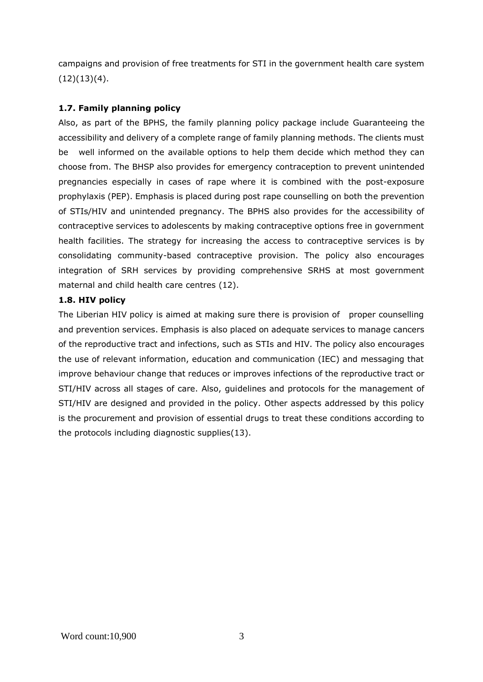campaigns and provision of free treatments for STI in the government health care system  $(12)(13)(4)$ .

## **1.7. Family planning policy**

Also, as part of the BPHS, the family planning policy package include Guaranteeing the accessibility and delivery of a complete range of family planning methods. The clients must be well informed on the available options to help them decide which method they can choose from. The BHSP also provides for emergency contraception to prevent unintended pregnancies especially in cases of rape where it is combined with the post-exposure prophylaxis (PEP). Emphasis is placed during post rape counselling on both the prevention of STIs/HIV and unintended pregnancy. The BPHS also provides for the accessibility of contraceptive services to adolescents by making contraceptive options free in government health facilities. The strategy for increasing the access to contraceptive services is by consolidating community-based contraceptive provision. The policy also encourages integration of SRH services by providing comprehensive SRHS at most government maternal and child health care centres (12).

## **1.8. HIV policy**

The Liberian HIV policy is aimed at making sure there is provision of proper counselling and prevention services. Emphasis is also placed on adequate services to manage cancers of the reproductive tract and infections, such as STIs and HIV. The policy also encourages the use of relevant information, education and communication (IEC) and messaging that improve behaviour change that reduces or improves infections of the reproductive tract or STI/HIV across all stages of care. Also, guidelines and protocols for the management of STI/HIV are designed and provided in the policy. Other aspects addressed by this policy is the procurement and provision of essential drugs to treat these conditions according to the protocols including diagnostic supplies(13).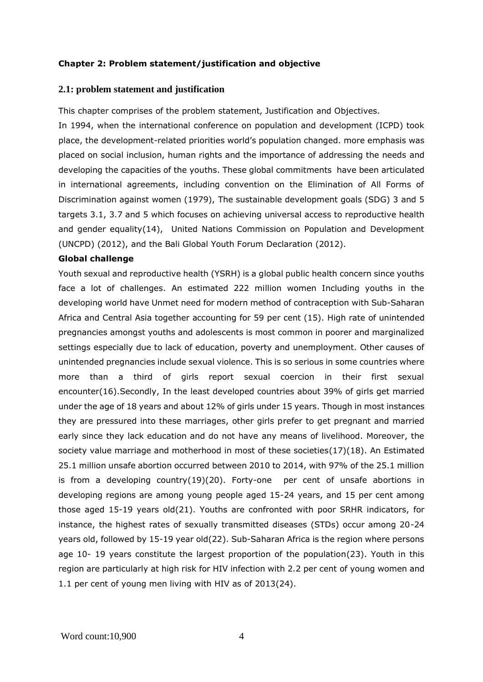### <span id="page-11-0"></span>**Chapter 2: Problem statement/justification and objective**

#### **2.1: problem statement and justification**

This chapter comprises of the problem statement, Justification and Objectives.

In 1994, when the international conference on population and development (ICPD) took place, the development-related priorities world's population changed. more emphasis was placed on social inclusion, human rights and the importance of addressing the needs and developing the capacities of the youths. These global commitments have been articulated in international agreements, including convention on the Elimination of All Forms of Discrimination against women (1979), The sustainable development goals (SDG) 3 and 5 targets 3.1, 3.7 and 5 which focuses on achieving universal access to reproductive health and gender equality(14), United Nations Commission on Population and Development (UNCPD) (2012), and the Bali Global Youth Forum Declaration (2012).

#### **Global challenge**

Youth sexual and reproductive health (YSRH) is a global public health concern since youths face a lot of challenges. An estimated 222 million women Including youths in the developing world have Unmet need for modern method of contraception with Sub-Saharan Africa and Central Asia together accounting for 59 per cent (15). High rate of unintended pregnancies amongst youths and adolescents is most common in poorer and marginalized settings especially due to lack of education, poverty and unemployment. Other causes of unintended pregnancies include sexual violence. This is so serious in some countries where more than a third of girls report sexual coercion in their first sexual encounter(16).Secondly, In the least developed countries about 39% of girls get married under the age of 18 years and about 12% of girls under 15 years. Though in most instances they are pressured into these marriages, other girls prefer to get pregnant and married early since they lack education and do not have any means of livelihood. Moreover, the society value marriage and motherhood in most of these societies(17)(18). An Estimated 25.1 million unsafe abortion occurred between 2010 to 2014, with 97% of the 25.1 million is from a developing country(19)(20). Forty-one per cent of unsafe abortions in developing regions are among young people aged 15-24 years, and 15 per cent among those aged 15-19 years old(21). Youths are confronted with poor SRHR indicators, for instance, the highest rates of sexually transmitted diseases (STDs) occur among 20-24 years old, followed by 15-19 year old(22). Sub-Saharan Africa is the region where persons age 10- 19 years constitute the largest proportion of the population(23). Youth in this region are particularly at high risk for HIV infection with 2.2 per cent of young women and 1.1 per cent of young men living with HIV as of 2013(24).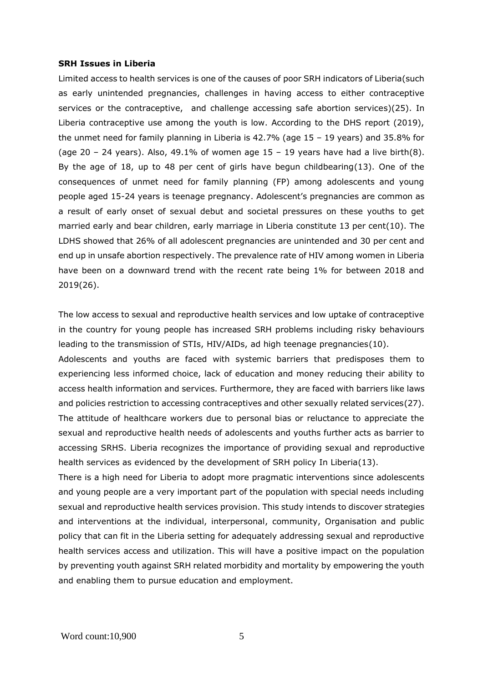#### **SRH Issues in Liberia**

Limited access to health services is one of the causes of poor SRH indicators of Liberia(such as early unintended pregnancies, challenges in having access to either contraceptive services or the contraceptive, and challenge accessing safe abortion services)(25). In Liberia contraceptive use among the youth is low. According to the DHS report (2019), the unmet need for family planning in Liberia is 42.7% (age 15 – 19 years) and 35.8% for (age 20 – 24 years). Also, 49.1% of women age  $15 - 19$  years have had a live birth(8). By the age of 18, up to 48 per cent of girls have begun childbearing(13). One of the consequences of unmet need for family planning (FP) among adolescents and young people aged 15-24 years is teenage pregnancy. Adolescent's pregnancies are common as a result of early onset of sexual debut and societal pressures on these youths to get married early and bear children, early marriage in Liberia constitute 13 per cent(10). The LDHS showed that 26% of all adolescent pregnancies are unintended and 30 per cent and end up in unsafe abortion respectively. The prevalence rate of HIV among women in Liberia have been on a downward trend with the recent rate being 1% for between 2018 and 2019(26).

The low access to sexual and reproductive health services and low uptake of contraceptive in the country for young people has increased SRH problems including risky behaviours leading to the transmission of STIs, HIV/AIDs, ad high teenage pregnancies(10). Adolescents and youths are faced with systemic barriers that predisposes them to experiencing less informed choice, lack of education and money reducing their ability to access health information and services. Furthermore, they are faced with barriers like laws and policies restriction to accessing contraceptives and other sexually related services(27). The attitude of healthcare workers due to personal bias or reluctance to appreciate the sexual and reproductive health needs of adolescents and youths further acts as barrier to accessing SRHS. Liberia recognizes the importance of providing sexual and reproductive

There is a high need for Liberia to adopt more pragmatic interventions since adolescents and young people are a very important part of the population with special needs including sexual and reproductive health services provision. This study intends to discover strategies and interventions at the individual, interpersonal, community, Organisation and public policy that can fit in the Liberia setting for adequately addressing sexual and reproductive health services access and utilization. This will have a positive impact on the population by preventing youth against SRH related morbidity and mortality by empowering the youth and enabling them to pursue education and employment.

health services as evidenced by the development of SRH policy In Liberia(13).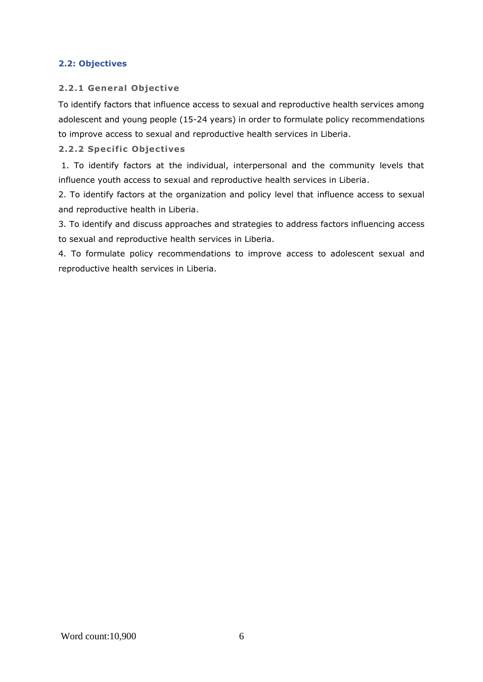## <span id="page-13-0"></span>**2.2: Objectives**

## **2.2.1 General Objective**

To identify factors that influence access to sexual and reproductive health services among adolescent and young people (15-24 years) in order to formulate policy recommendations to improve access to sexual and reproductive health services in Liberia.

## **2.2.2 Specific Objectives**

1. To identify factors at the individual, interpersonal and the community levels that influence youth access to sexual and reproductive health services in Liberia.

2. To identify factors at the organization and policy level that influence access to sexual and reproductive health in Liberia.

3. To identify and discuss approaches and strategies to address factors influencing access to sexual and reproductive health services in Liberia.

4. To formulate policy recommendations to improve access to adolescent sexual and reproductive health services in Liberia.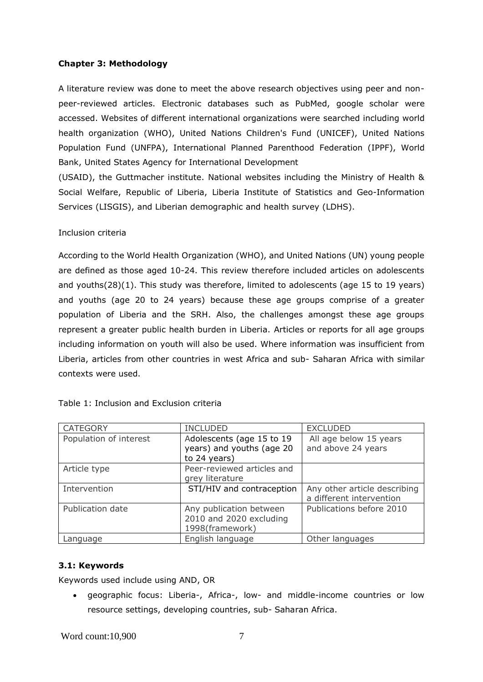### <span id="page-14-0"></span>**Chapter 3: Methodology**

A literature review was done to meet the above research objectives using peer and nonpeer-reviewed articles. Electronic databases such as PubMed, google scholar were accessed. Websites of different international organizations were searched including world health organization (WHO), United Nations Children's Fund (UNICEF), United Nations Population Fund (UNFPA), International Planned Parenthood Federation (IPPF), World Bank, United States Agency for International Development

(USAID), the Guttmacher institute. National websites including the Ministry of Health & Social Welfare, Republic of Liberia, Liberia Institute of Statistics and Geo-Information Services (LISGIS), and Liberian demographic and health survey (LDHS).

### Inclusion criteria

According to the World Health Organization (WHO), and United Nations (UN) young people are defined as those aged 10-24. This review therefore included articles on adolescents and youths(28)(1). This study was therefore, limited to adolescents (age 15 to 19 years) and youths (age 20 to 24 years) because these age groups comprise of a greater population of Liberia and the SRH. Also, the challenges amongst these age groups represent a greater public health burden in Liberia. Articles or reports for all age groups including information on youth will also be used. Where information was insufficient from Liberia, articles from other countries in west Africa and sub- Saharan Africa with similar contexts were used.

| <b>CATEGORY</b>        | <b>INCLUDED</b>                                                        | <b>EXCLUDED</b>                                          |
|------------------------|------------------------------------------------------------------------|----------------------------------------------------------|
| Population of interest | Adolescents (age 15 to 19<br>years) and youths (age 20<br>to 24 years) | All age below 15 years<br>and above 24 years             |
| Article type           | Peer-reviewed articles and<br>grey literature                          |                                                          |
| Intervention           | STI/HIV and contraception                                              | Any other article describing<br>a different intervention |
| Publication date       | Any publication between<br>2010 and 2020 excluding<br>1998(framework)  | Publications before 2010                                 |
| Language               | English language                                                       | Other languages                                          |

|  |  | Table 1: Inclusion and Exclusion criteria |  |
|--|--|-------------------------------------------|--|
|  |  |                                           |  |

#### <span id="page-14-1"></span>**3.1: Keywords**

Keywords used include using AND, OR

• geographic focus: Liberia-, Africa-, low- and middle-income countries or low resource settings, developing countries, sub- Saharan Africa.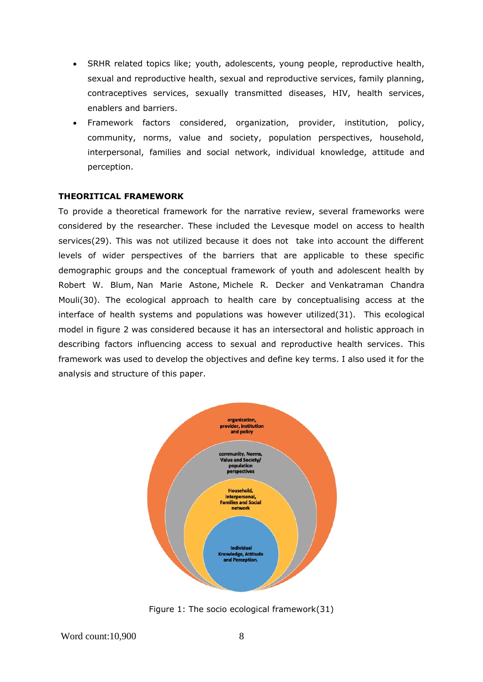- SRHR related topics like; youth, adolescents, young people, reproductive health, sexual and reproductive health, sexual and reproductive services, family planning, contraceptives services, sexually transmitted diseases, HIV, health services, enablers and barriers.
- Framework factors considered, organization, provider, institution, policy, community, norms, value and society, population perspectives, household, interpersonal, families and social network, individual knowledge, attitude and perception.

#### **THEORITICAL FRAMEWORK**

To provide a theoretical framework for the narrative review, several frameworks were considered by the researcher. These included the Levesque model on access to health services(29). This was not utilized because it does not take into account the different levels of wider perspectives of the barriers that are applicable to these specific demographic groups and the conceptual framework of youth and adolescent health by Robert W. Blum, Nan Marie Astone, Michele R. Decker and Venkatraman Chandra Mouli(30). The ecological approach to health care by conceptualising access at the interface of health systems and populations was however utilized(31). This ecological model in figure 2 was considered because it has an intersectoral and holistic approach in describing factors influencing access to sexual and reproductive health services. This framework was used to develop the objectives and define key terms. I also used it for the analysis and structure of this paper.



Figure 1: The socio ecological framework(31)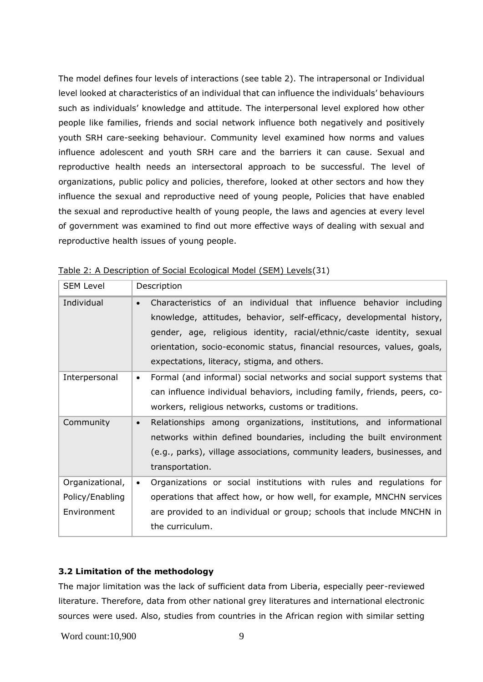The model defines four levels of interactions (see table 2). The intrapersonal or Individual level looked at characteristics of an individual that can influence the individuals' behaviours such as individuals' knowledge and attitude. The interpersonal level explored how other people like families, friends and social network influence both negatively and positively youth SRH care-seeking behaviour. Community level examined how norms and values influence adolescent and youth SRH care and the barriers it can cause. Sexual and reproductive health needs an intersectoral approach to be successful. The level of organizations, public policy and policies, therefore, looked at other sectors and how they influence the sexual and reproductive need of young people, Policies that have enabled the sexual and reproductive health of young people, the laws and agencies at every level of government was examined to find out more effective ways of dealing with sexual and reproductive health issues of young people.

| <b>SEM Level</b>                                  | Description                                                                                                                                                                                                                                                                                                                                                 |
|---------------------------------------------------|-------------------------------------------------------------------------------------------------------------------------------------------------------------------------------------------------------------------------------------------------------------------------------------------------------------------------------------------------------------|
| Individual                                        | Characteristics of an individual that influence behavior including<br>$\bullet$<br>knowledge, attitudes, behavior, self-efficacy, developmental history,<br>gender, age, religious identity, racial/ethnic/caste identity, sexual<br>orientation, socio-economic status, financial resources, values, goals,<br>expectations, literacy, stigma, and others. |
| Interpersonal                                     | Formal (and informal) social networks and social support systems that<br>$\bullet$<br>can influence individual behaviors, including family, friends, peers, co-<br>workers, religious networks, customs or traditions.                                                                                                                                      |
| Community                                         | Relationships among organizations, institutions, and informational<br>$\bullet$<br>networks within defined boundaries, including the built environment<br>(e.g., parks), village associations, community leaders, businesses, and<br>transportation.                                                                                                        |
| Organizational,<br>Policy/Enabling<br>Environment | Organizations or social institutions with rules and regulations for<br>$\bullet$<br>operations that affect how, or how well, for example, MNCHN services<br>are provided to an individual or group; schools that include MNCHN in<br>the curriculum.                                                                                                        |

Table 2: A Description of Social Ecological Model (SEM) Levels(31)

## **3.2 Limitation of the methodology**

The major limitation was the lack of sufficient data from Liberia, especially peer-reviewed literature. Therefore, data from other national grey literatures and international electronic sources were used. Also, studies from countries in the African region with similar setting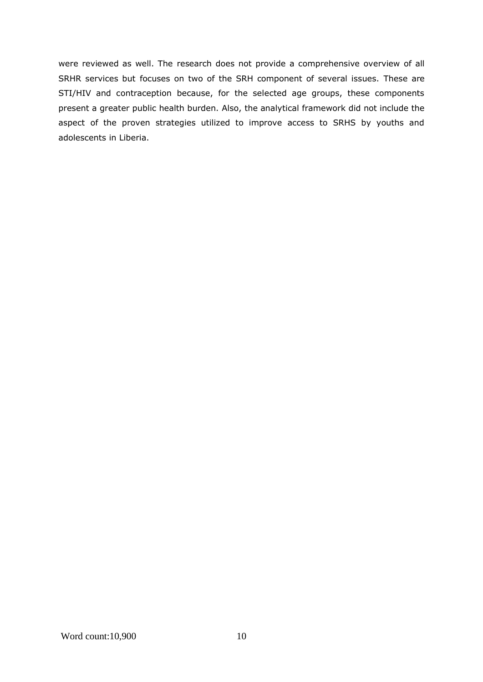were reviewed as well. The research does not provide a comprehensive overview of all SRHR services but focuses on two of the SRH component of several issues. These are STI/HIV and contraception because, for the selected age groups, these components present a greater public health burden. Also, the analytical framework did not include the aspect of the proven strategies utilized to improve access to SRHS by youths and adolescents in Liberia.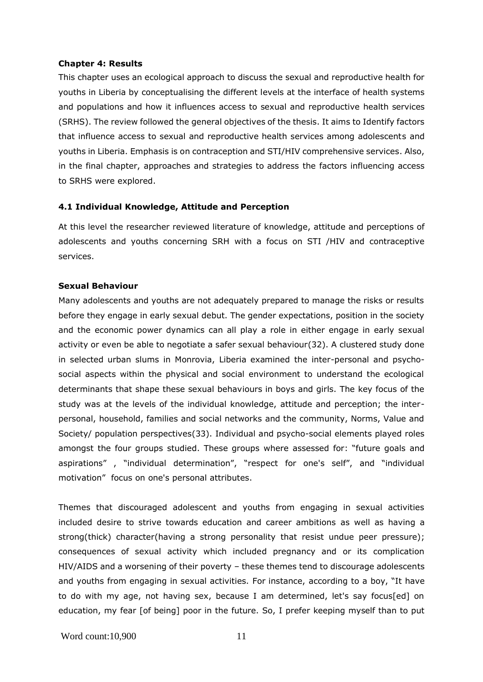#### <span id="page-18-0"></span>**Chapter 4: Results**

This chapter uses an ecological approach to discuss the sexual and reproductive health for youths in Liberia by conceptualising the different levels at the interface of health systems and populations and how it influences access to sexual and reproductive health services (SRHS). The review followed the general objectives of the thesis. It aims to Identify factors that influence access to sexual and reproductive health services among adolescents and youths in Liberia. Emphasis is on contraception and STI/HIV comprehensive services. Also, in the final chapter, approaches and strategies to address the factors influencing access to SRHS were explored.

#### <span id="page-18-1"></span>**4.1 Individual Knowledge, Attitude and Perception**

At this level the researcher reviewed literature of knowledge, attitude and perceptions of adolescents and youths concerning SRH with a focus on STI /HIV and contraceptive services.

#### **Sexual Behaviour**

Many adolescents and youths are not adequately prepared to manage the risks or results before they engage in early sexual debut. The gender expectations, position in the society and the economic power dynamics can all play a role in either engage in early sexual activity or even be able to negotiate a safer sexual behaviour(32). A clustered study done in selected urban slums in Monrovia, Liberia examined the inter-personal and psychosocial aspects within the physical and social environment to understand the ecological determinants that shape these sexual behaviours in boys and girls. The key focus of the study was at the levels of the individual knowledge, attitude and perception; the interpersonal, household, families and social networks and the community, Norms, Value and Society/ population perspectives(33). Individual and psycho-social elements played roles amongst the four groups studied. These groups where assessed for: "future goals and aspirations" , "individual determination", "respect for one's self", and "individual motivation" focus on one's personal attributes.

Themes that discouraged adolescent and youths from engaging in sexual activities included desire to strive towards education and career ambitions as well as having a strong(thick) character(having a strong personality that resist undue peer pressure); consequences of sexual activity which included pregnancy and or its complication HIV/AIDS and a worsening of their poverty – these themes tend to discourage adolescents and youths from engaging in sexual activities. For instance, according to a boy, "It have to do with my age, not having sex, because I am determined, let's say focus[ed] on education, my fear [of being] poor in the future. So, I prefer keeping myself than to put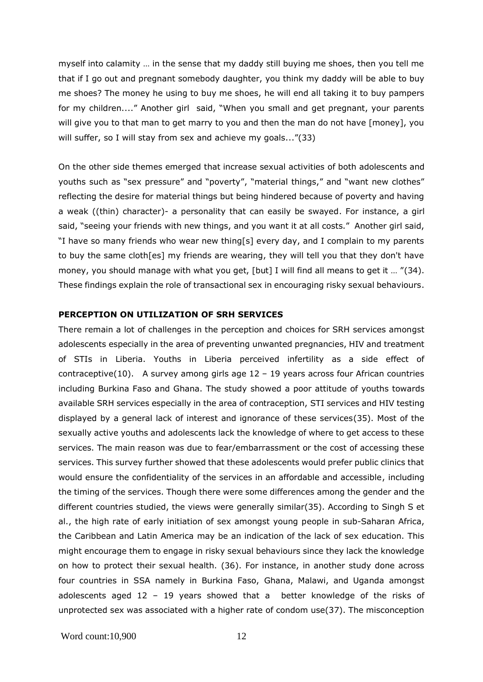myself into calamity … in the sense that my daddy still buying me shoes, then you tell me that if I go out and pregnant somebody daughter, you think my daddy will be able to buy me shoes? The money he using to buy me shoes, he will end all taking it to buy pampers for my children...." Another girl said, "When you small and get pregnant, your parents will give you to that man to get marry to you and then the man do not have [money], you will suffer, so I will stay from sex and achieve my goals..."(33)

On the other side themes emerged that increase sexual activities of both adolescents and youths such as "sex pressure" and "poverty", "material things," and "want new clothes" reflecting the desire for material things but being hindered because of poverty and having a weak ((thin) character)- a personality that can easily be swayed. For instance, a girl said, "seeing your friends with new things, and you want it at all costs." Another girl said, "I have so many friends who wear new thing[s] every day, and I complain to my parents to buy the same cloth[es] my friends are wearing, they will tell you that they don't have money, you should manage with what you get, [but] I will find all means to get it ... "(34). These findings explain the role of transactional sex in encouraging risky sexual behaviours.

## **PERCEPTION ON UTILIZATION OF SRH SERVICES**

There remain a lot of challenges in the perception and choices for SRH services amongst adolescents especially in the area of preventing unwanted pregnancies, HIV and treatment of STIs in Liberia. Youths in Liberia perceived infertility as a side effect of contraceptive(10). A survey among girls age  $12 - 19$  years across four African countries including Burkina Faso and Ghana. The study showed a poor attitude of youths towards available SRH services especially in the area of contraception, STI services and HIV testing displayed by a general lack of interest and ignorance of these services(35). Most of the sexually active youths and adolescents lack the knowledge of where to get access to these services. The main reason was due to fear/embarrassment or the cost of accessing these services. This survey further showed that these adolescents would prefer public clinics that would ensure the confidentiality of the services in an affordable and accessible, including the timing of the services. Though there were some differences among the gender and the different countries studied, the views were generally similar(35). According to Singh S et al., the high rate of early initiation of sex amongst young people in sub-Saharan Africa, the Caribbean and Latin America may be an indication of the lack of sex education. This might encourage them to engage in risky sexual behaviours since they lack the knowledge on how to protect their sexual health. (36). For instance, in another study done across four countries in SSA namely in Burkina Faso, Ghana, Malawi, and Uganda amongst adolescents aged 12 – 19 years showed that a better knowledge of the risks of unprotected sex was associated with a higher rate of condom use(37). The misconception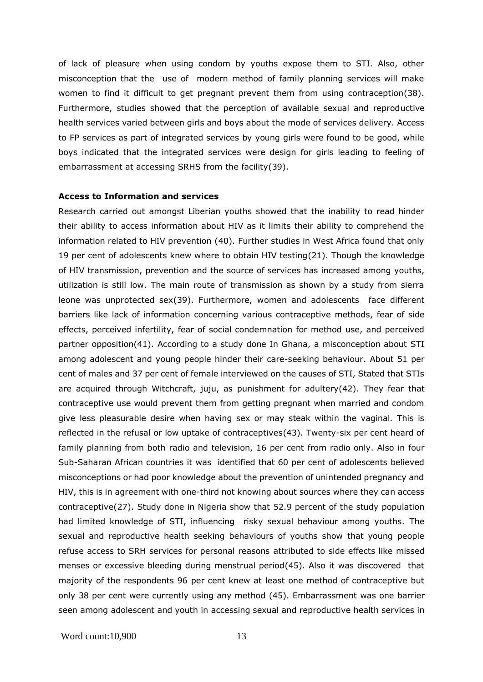of lack of pleasure when using condom by youths expose them to STI. Also, other misconception that the use of modern method of family planning services will make women to find it difficult to get pregnant prevent them from using contraception(38). Furthermore, studies showed that the perception of available sexual and reproductive health services varied between girls and boys about the mode of services delivery. Access to FP services as part of integrated services by young girls were found to be good, while boys indicated that the integrated services were design for girls leading to feeling of embarrassment at accessing SRHS from the facility(39).

#### **Access to Information and services**

Research carried out amongst Liberian youths showed that the inability to read hinder their ability to access information about HIV as it limits their ability to comprehend the information related to HIV prevention (40). Further studies in West Africa found that only 19 per cent of adolescents knew where to obtain HIV testing(21). Though the knowledge of HIV transmission, prevention and the source of services has increased among youths, utilization is still low. The main route of transmission as shown by a study from sierra leone was unprotected sex(39). Furthermore, women and adolescents face different barriers like lack of information concerning various contraceptive methods, fear of side effects, perceived infertility, fear of social condemnation for method use, and perceived partner opposition(41). According to a study done In Ghana, a misconception about STI among adolescent and young people hinder their care-seeking behaviour. About 51 per cent of males and 37 per cent of female interviewed on the causes of STI, Stated that STIs are acquired through Witchcraft, juju, as punishment for adultery(42). They fear that contraceptive use would prevent them from getting pregnant when married and condom give less pleasurable desire when having sex or may steak within the vaginal. This is reflected in the refusal or low uptake of contraceptives(43). Twenty-six per cent heard of family planning from both radio and television, 16 per cent from radio only. Also in four Sub-Saharan African countries it was identified that 60 per cent of adolescents believed misconceptions or had poor knowledge about the prevention of unintended pregnancy and HIV, this is in agreement with one-third not knowing about sources where they can access contraceptive(27). Study done in Nigeria show that 52.9 percent of the study population had limited knowledge of STI, influencing risky sexual behaviour among youths. The sexual and reproductive health seeking behaviours of youths show that young people refuse access to SRH services for personal reasons attributed to side effects like missed menses or excessive bleeding during menstrual period(45). Also it was discovered that majority of the respondents 96 per cent knew at least one method of contraceptive but only 38 per cent were currently using any method (45). Embarrassment was one barrier seen among adolescent and youth in accessing sexual and reproductive health services in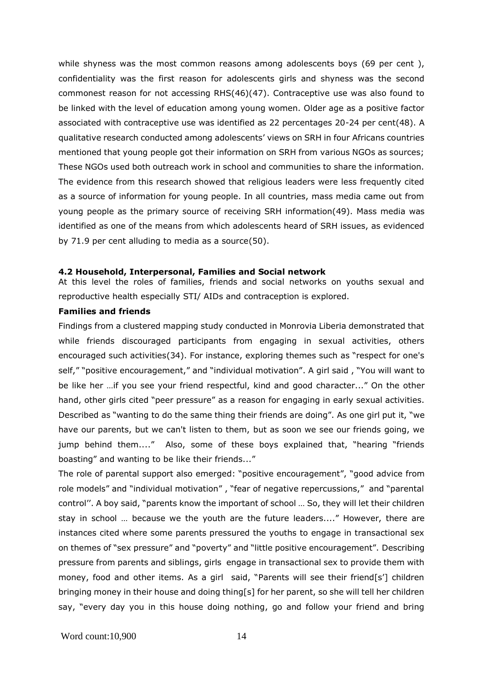while shyness was the most common reasons among adolescents boys (69 per cent), confidentiality was the first reason for adolescents girls and shyness was the second commonest reason for not accessing RHS(46)(47). Contraceptive use was also found to be linked with the level of education among young women. Older age as a positive factor associated with contraceptive use was identified as 22 percentages 20-24 per cent(48). A qualitative research conducted among adolescents' views on SRH in four Africans countries mentioned that young people got their information on SRH from various NGOs as sources; These NGOs used both outreach work in school and communities to share the information. The evidence from this research showed that religious leaders were less frequently cited as a source of information for young people. In all countries, mass media came out from young people as the primary source of receiving SRH information(49). Mass media was identified as one of the means from which adolescents heard of SRH issues, as evidenced by 71.9 per cent alluding to media as a source(50).

#### <span id="page-21-0"></span>**4.2 Household, Interpersonal, Families and Social network**

At this level the roles of families, friends and social networks on youths sexual and reproductive health especially STI/ AIDs and contraception is explored.

#### **Families and friends**

Findings from a clustered mapping study conducted in Monrovia Liberia demonstrated that while friends discouraged participants from engaging in sexual activities, others encouraged such activities(34). For instance, exploring themes such as "respect for one's self," "positive encouragement," and "individual motivation". A girl said , "You will want to be like her …if you see your friend respectful, kind and good character..." On the other hand, other girls cited "peer pressure" as a reason for engaging in early sexual activities. Described as "wanting to do the same thing their friends are doing". As one girl put it, "we have our parents, but we can't listen to them, but as soon we see our friends going, we jump behind them...." Also, some of these boys explained that, "hearing "friends boasting" and wanting to be like their friends..."

The role of parental support also emerged: "positive encouragement", "good advice from role models" and "individual motivation" , "fear of negative repercussions," and "parental control''. A boy said, "parents know the important of school … So, they will let their children stay in school … because we the youth are the future leaders...." However, there are instances cited where some parents pressured the youths to engage in transactional sex on themes of "sex pressure" and "poverty" and "little positive encouragement". Describing pressure from parents and siblings, girls engage in transactional sex to provide them with money, food and other items. As a girl said, "Parents will see their friend[s'] children bringing money in their house and doing thing[s] for her parent, so she will tell her children say, "every day you in this house doing nothing, go and follow your friend and bring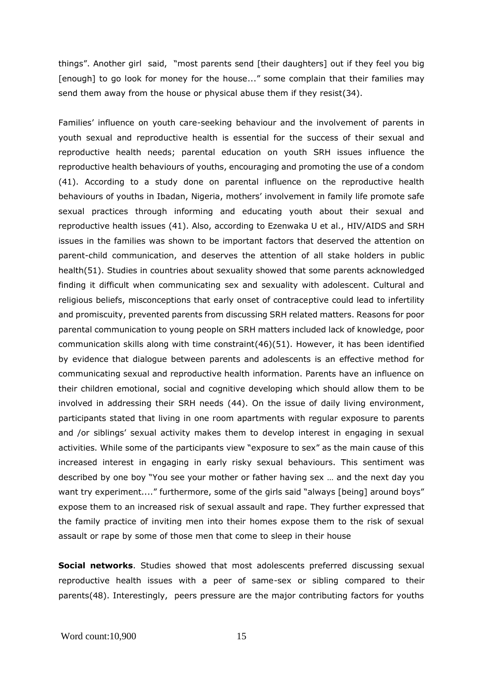things". Another girl said, "most parents send [their daughters] out if they feel you big [enough] to go look for money for the house..." some complain that their families may send them away from the house or physical abuse them if they resist(34).

Families' influence on youth care-seeking behaviour and the involvement of parents in youth sexual and reproductive health is essential for the success of their sexual and reproductive health needs; parental education on youth SRH issues influence the reproductive health behaviours of youths, encouraging and promoting the use of a condom (41). According to a study done on parental influence on the reproductive health behaviours of youths in Ibadan, Nigeria, mothers' involvement in family life promote safe sexual practices through informing and educating youth about their sexual and reproductive health issues (41). Also, according to Ezenwaka U et al., HIV/AIDS and SRH issues in the families was shown to be important factors that deserved the attention on parent-child communication, and deserves the attention of all stake holders in public health(51). Studies in countries about sexuality showed that some parents acknowledged finding it difficult when communicating sex and sexuality with adolescent. Cultural and religious beliefs, misconceptions that early onset of contraceptive could lead to infertility and promiscuity, prevented parents from discussing SRH related matters. Reasons for poor parental communication to young people on SRH matters included lack of knowledge, poor communication skills along with time constraint(46)(51). However, it has been identified by evidence that dialogue between parents and adolescents is an effective method for communicating sexual and reproductive health information. Parents have an influence on their children emotional, social and cognitive developing which should allow them to be involved in addressing their SRH needs (44). On the issue of daily living environment, participants stated that living in one room apartments with regular exposure to parents and /or siblings' sexual activity makes them to develop interest in engaging in sexual activities. While some of the participants view "exposure to sex" as the main cause of this increased interest in engaging in early risky sexual behaviours. This sentiment was described by one boy "You see your mother or father having sex … and the next day you want try experiment...." furthermore, some of the girls said "always [being] around boys" expose them to an increased risk of sexual assault and rape. They further expressed that the family practice of inviting men into their homes expose them to the risk of sexual assault or rape by some of those men that come to sleep in their house

**Social networks**. Studies showed that most adolescents preferred discussing sexual reproductive health issues with a peer of same-sex or sibling compared to their parents(48). Interestingly, peers pressure are the major contributing factors for youths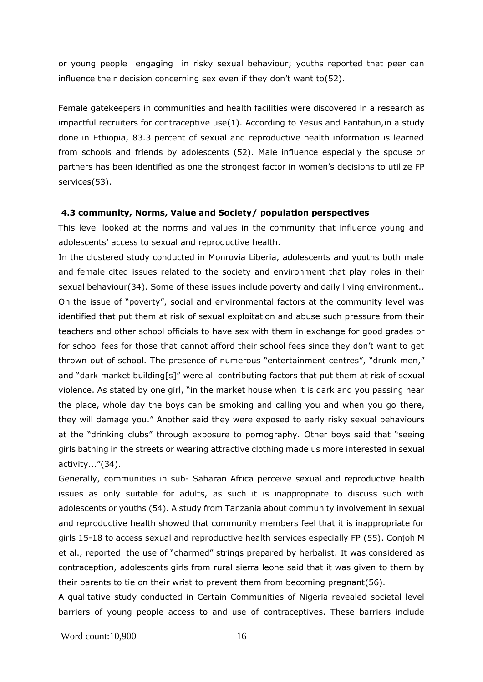or young people engaging in risky sexual behaviour; youths reported that peer can influence their decision concerning sex even if they don't want to(52).

Female gatekeepers in communities and health facilities were discovered in a research as impactful recruiters for contraceptive use(1). According to Yesus and Fantahun,in a study done in Ethiopia, 83.3 percent of sexual and reproductive health information is learned from schools and friends by adolescents (52). Male influence especially the spouse or partners has been identified as one the strongest factor in women's decisions to utilize FP services(53).

#### <span id="page-23-0"></span>**4.3 community, Norms, Value and Society/ population perspectives**

This level looked at the norms and values in the community that influence young and adolescents' access to sexual and reproductive health.

In the clustered study conducted in Monrovia Liberia, adolescents and youths both male and female cited issues related to the society and environment that play roles in their sexual behaviour(34). Some of these issues include poverty and daily living environment.. On the issue of "poverty", social and environmental factors at the community level was identified that put them at risk of sexual exploitation and abuse such pressure from their teachers and other school officials to have sex with them in exchange for good grades or for school fees for those that cannot afford their school fees since they don't want to get thrown out of school. The presence of numerous "entertainment centres", "drunk men," and "dark market building[s]" were all contributing factors that put them at risk of sexual violence. As stated by one girl, "in the market house when it is dark and you passing near the place, whole day the boys can be smoking and calling you and when you go there, they will damage you." Another said they were exposed to early risky sexual behaviours at the "drinking clubs" through exposure to pornography. Other boys said that "seeing girls bathing in the streets or wearing attractive clothing made us more interested in sexual activity..."(34).

Generally, communities in sub- Saharan Africa perceive sexual and reproductive health issues as only suitable for adults, as such it is inappropriate to discuss such with adolescents or youths (54). A study from Tanzania about community involvement in sexual and reproductive health showed that community members feel that it is inappropriate for girls 15-18 to access sexual and reproductive health services especially FP (55). Conjoh M et al., reported the use of "charmed" strings prepared by herbalist. It was considered as contraception, adolescents girls from rural sierra leone said that it was given to them by their parents to tie on their wrist to prevent them from becoming pregnant(56).

A qualitative study conducted in Certain Communities of Nigeria revealed societal level barriers of young people access to and use of contraceptives. These barriers include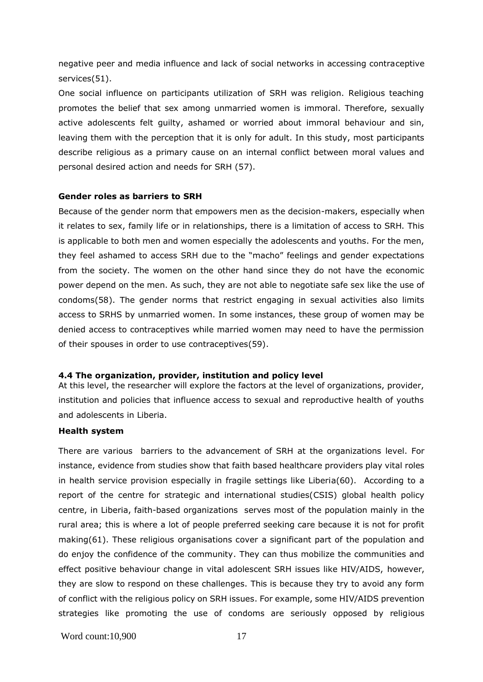negative peer and media influence and lack of social networks in accessing contraceptive services(51).

One social influence on participants utilization of SRH was religion. Religious teaching promotes the belief that sex among unmarried women is immoral. Therefore, sexually active adolescents felt guilty, ashamed or worried about immoral behaviour and sin, leaving them with the perception that it is only for adult. In this study, most participants describe religious as a primary cause on an internal conflict between moral values and personal desired action and needs for SRH (57).

#### **Gender roles as barriers to SRH**

Because of the gender norm that empowers men as the decision-makers, especially when it relates to sex, family life or in relationships, there is a limitation of access to SRH. This is applicable to both men and women especially the adolescents and youths. For the men, they feel ashamed to access SRH due to the "macho" feelings and gender expectations from the society. The women on the other hand since they do not have the economic power depend on the men. As such, they are not able to negotiate safe sex like the use of condoms(58). The gender norms that restrict engaging in sexual activities also limits access to SRHS by unmarried women. In some instances, these group of women may be denied access to contraceptives while married women may need to have the permission of their spouses in order to use contraceptives(59).

#### <span id="page-24-0"></span>**4.4 The organization, provider, institution and policy level**

At this level, the researcher will explore the factors at the level of organizations, provider, institution and policies that influence access to sexual and reproductive health of youths and adolescents in Liberia.

#### **Health system**

There are various barriers to the advancement of SRH at the organizations level. For instance, evidence from studies show that faith based healthcare providers play vital roles in health service provision especially in fragile settings like Liberia(60). According to a report of the centre for strategic and international studies(CSIS) global health policy centre, in Liberia, faith-based organizations serves most of the population mainly in the rural area; this is where a lot of people preferred seeking care because it is not for profit making(61). These religious organisations cover a significant part of the population and do enjoy the confidence of the community. They can thus mobilize the communities and effect positive behaviour change in vital adolescent SRH issues like HIV/AIDS, however, they are slow to respond on these challenges. This is because they try to avoid any form of conflict with the religious policy on SRH issues. For example, some HIV/AIDS prevention strategies like promoting the use of condoms are seriously opposed by religious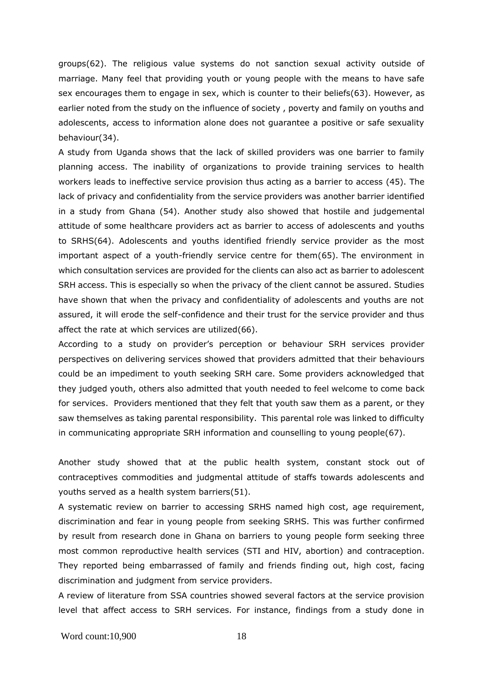groups(62). The religious value systems do not sanction sexual activity outside of marriage. Many feel that providing youth or young people with the means to have safe sex encourages them to engage in sex, which is counter to their beliefs(63). However, as earlier noted from the study on the influence of society , poverty and family on youths and adolescents, access to information alone does not guarantee a positive or safe sexuality behaviour(34).

A study from Uganda shows that the lack of skilled providers was one barrier to family planning access. The inability of organizations to provide training services to health workers leads to ineffective service provision thus acting as a barrier to access (45). The lack of privacy and confidentiality from the service providers was another barrier identified in a study from Ghana (54). Another study also showed that hostile and judgemental attitude of some healthcare providers act as barrier to access of adolescents and youths to SRHS(64). Adolescents and youths identified friendly service provider as the most important aspect of a youth-friendly service centre for them(65). The environment in which consultation services are provided for the clients can also act as barrier to adolescent SRH access. This is especially so when the privacy of the client cannot be assured. Studies have shown that when the privacy and confidentiality of adolescents and youths are not assured, it will erode the self-confidence and their trust for the service provider and thus affect the rate at which services are utilized(66).

According to a study on provider's perception or behaviour SRH services provider perspectives on delivering services showed that providers admitted that their behaviours could be an impediment to youth seeking SRH care. Some providers acknowledged that they judged youth, others also admitted that youth needed to feel welcome to come back for services. Providers mentioned that they felt that youth saw them as a parent, or they saw themselves as taking parental responsibility. This parental role was linked to difficulty in communicating appropriate SRH information and counselling to young people(67).

Another study showed that at the public health system, constant stock out of contraceptives commodities and judgmental attitude of staffs towards adolescents and youths served as a health system barriers(51).

A systematic review on barrier to accessing SRHS named high cost, age requirement, discrimination and fear in young people from seeking SRHS. This was further confirmed by result from research done in Ghana on barriers to young people form seeking three most common reproductive health services (STI and HIV, abortion) and contraception. They reported being embarrassed of family and friends finding out, high cost, facing discrimination and judgment from service providers.

A review of literature from SSA countries showed several factors at the service provision level that affect access to SRH services. For instance, findings from a study done in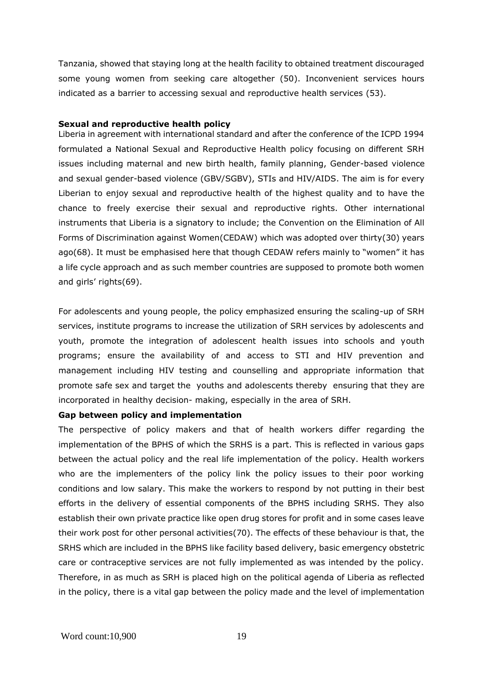Tanzania, showed that staying long at the health facility to obtained treatment discouraged some young women from seeking care altogether (50). Inconvenient services hours indicated as a barrier to accessing sexual and reproductive health services (53).

#### **Sexual and reproductive health policy**

Liberia in agreement with international standard and after the conference of the ICPD 1994 formulated a National Sexual and Reproductive Health policy focusing on different SRH issues including maternal and new birth health, family planning, Gender-based violence and sexual gender-based violence (GBV/SGBV), STIs and HIV/AIDS. The aim is for every Liberian to enjoy sexual and reproductive health of the highest quality and to have the chance to freely exercise their sexual and reproductive rights. Other international instruments that Liberia is a signatory to include; the Convention on the Elimination of All Forms of Discrimination against Women(CEDAW) which was adopted over thirty(30) years ago(68). It must be emphasised here that though CEDAW refers mainly to "women" it has a life cycle approach and as such member countries are supposed to promote both women and girls' rights(69).

For adolescents and young people, the policy emphasized ensuring the scaling-up of SRH services, institute programs to increase the utilization of SRH services by adolescents and youth, promote the integration of adolescent health issues into schools and youth programs; ensure the availability of and access to STI and HIV prevention and management including HIV testing and counselling and appropriate information that promote safe sex and target the youths and adolescents thereby ensuring that they are incorporated in healthy decision- making, especially in the area of SRH.

#### **Gap between policy and implementation**

The perspective of policy makers and that of health workers differ regarding the implementation of the BPHS of which the SRHS is a part. This is reflected in various gaps between the actual policy and the real life implementation of the policy. Health workers who are the implementers of the policy link the policy issues to their poor working conditions and low salary. This make the workers to respond by not putting in their best efforts in the delivery of essential components of the BPHS including SRHS. They also establish their own private practice like open drug stores for profit and in some cases leave their work post for other personal activities(70). The effects of these behaviour is that, the SRHS which are included in the BPHS like facility based delivery, basic emergency obstetric care or contraceptive services are not fully implemented as was intended by the policy. Therefore, in as much as SRH is placed high on the political agenda of Liberia as reflected in the policy, there is a vital gap between the policy made and the level of implementation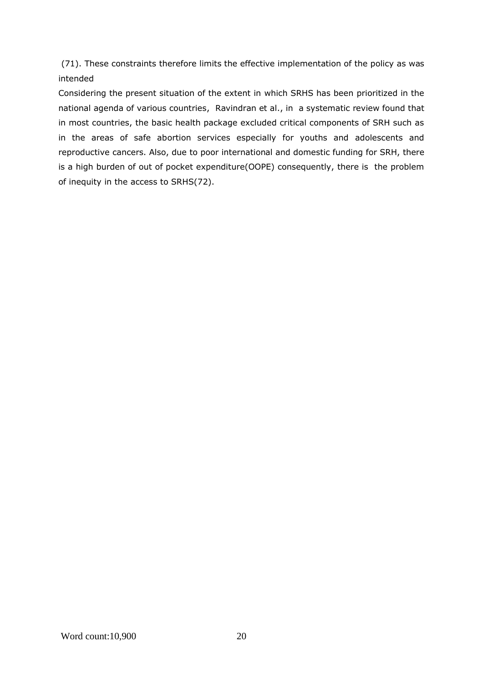(71). These constraints therefore limits the effective implementation of the policy as was intended

Considering the present situation of the extent in which SRHS has been prioritized in the national agenda of various countries, Ravindran et al., in a systematic review found that in most countries, the basic health package excluded critical components of SRH such as in the areas of safe abortion services especially for youths and adolescents and reproductive cancers. Also, due to poor international and domestic funding for SRH, there is a high burden of out of pocket expenditure(OOPE) consequently, there is the problem of inequity in the access to SRHS(72).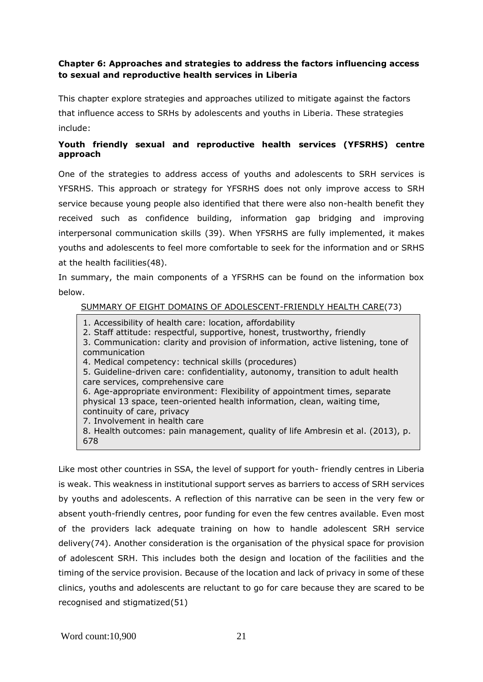## <span id="page-28-0"></span>**Chapter 6: Approaches and strategies to address the factors influencing access to sexual and reproductive health services in Liberia**

This chapter explore strategies and approaches utilized to mitigate against the factors that influence access to SRHs by adolescents and youths in Liberia. These strategies include:

## **Youth friendly sexual and reproductive health services (YFSRHS) centre approach**

One of the strategies to address access of youths and adolescents to SRH services is YFSRHS. This approach or strategy for YFSRHS does not only improve access to SRH service because young people also identified that there were also non-health benefit they received such as confidence building, information gap bridging and improving interpersonal communication skills (39). When YFSRHS are fully implemented, it makes youths and adolescents to feel more comfortable to seek for the information and or SRHS at the health facilities(48).

In summary, the main components of a YFSRHS can be found on the information box below.

## SUMMARY OF EIGHT DOMAINS OF ADOLESCENT-FRIENDLY HEALTH CARE(73)

- 1. Accessibility of health care: location, affordability
- 2. Staff attitude: respectful, supportive, honest, trustworthy, friendly
- 3. Communication: clarity and provision of information, active listening, tone of communication
- 4. Medical competency: technical skills (procedures)
- 5. Guideline-driven care: confidentiality, autonomy, transition to adult health care services, comprehensive care
- 6. Age-appropriate environment: Flexibility of appointment times, separate physical 13 space, teen-oriented health information, clean, waiting time, continuity of care, privacy
- 7. Involvement in health care

8. Health outcomes: pain management, quality of life Ambresin et al. (2013), p. 678

Like most other countries in SSA, the level of support for youth- friendly centres in Liberia is weak. This weakness in institutional support serves as barriers to access of SRH services by youths and adolescents. A reflection of this narrative can be seen in the very few or absent youth-friendly centres, poor funding for even the few centres available. Even most of the providers lack adequate training on how to handle adolescent SRH service delivery(74). Another consideration is the organisation of the physical space for provision of adolescent SRH. This includes both the design and location of the facilities and the timing of the service provision. Because of the location and lack of privacy in some of these clinics, youths and adolescents are reluctant to go for care because they are scared to be recognised and stigmatized(51)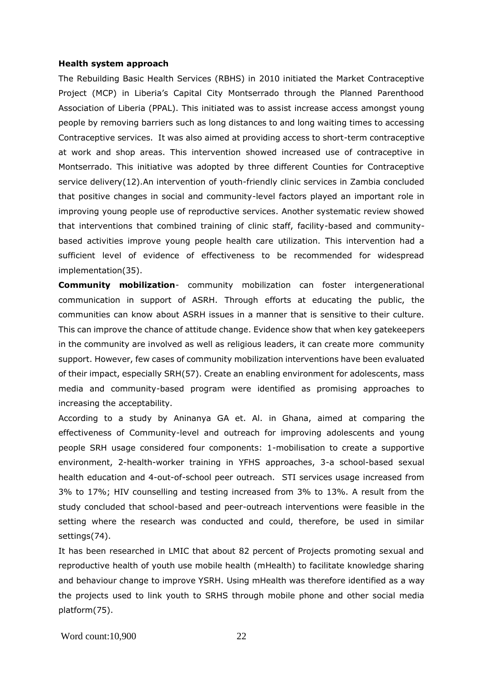#### **Health system approach**

The Rebuilding Basic Health Services (RBHS) in 2010 initiated the Market Contraceptive Project (MCP) in Liberia's Capital City Montserrado through the Planned Parenthood Association of Liberia (PPAL). This initiated was to assist increase access amongst young people by removing barriers such as long distances to and long waiting times to accessing Contraceptive services. It was also aimed at providing access to short-term contraceptive at work and shop areas. This intervention showed increased use of contraceptive in Montserrado. This initiative was adopted by three different Counties for Contraceptive service delivery(12).An intervention of youth-friendly clinic services in Zambia concluded that positive changes in social and community-level factors played an important role in improving young people use of reproductive services. Another systematic review showed that interventions that combined training of clinic staff, facility-based and communitybased activities improve young people health care utilization. This intervention had a sufficient level of evidence of effectiveness to be recommended for widespread implementation(35).

**Community mobilization**- community mobilization can foster intergenerational communication in support of ASRH. Through efforts at educating the public, the communities can know about ASRH issues in a manner that is sensitive to their culture. This can improve the chance of attitude change. Evidence show that when key gatekeepers in the community are involved as well as religious leaders, it can create more community support. However, few cases of community mobilization interventions have been evaluated of their impact, especially SRH(57). Create an enabling environment for adolescents, mass media and community-based program were identified as promising approaches to increasing the acceptability.

According to a study by Aninanya GA et. Al. in Ghana, aimed at comparing the effectiveness of Community-level and outreach for improving adolescents and young people SRH usage considered four components: 1-mobilisation to create a supportive environment, 2-health-worker training in YFHS approaches, 3-a school-based sexual health education and 4-out-of-school peer outreach. STI services usage increased from 3% to 17%; HIV counselling and testing increased from 3% to 13%. A result from the study concluded that school-based and peer-outreach interventions were feasible in the setting where the research was conducted and could, therefore, be used in similar settings(74).

It has been researched in LMIC that about 82 percent of Projects promoting sexual and reproductive health of youth use mobile health (mHealth) to facilitate knowledge sharing and behaviour change to improve YSRH. Using mHealth was therefore identified as a way the projects used to link youth to SRHS through mobile phone and other social media platform(75).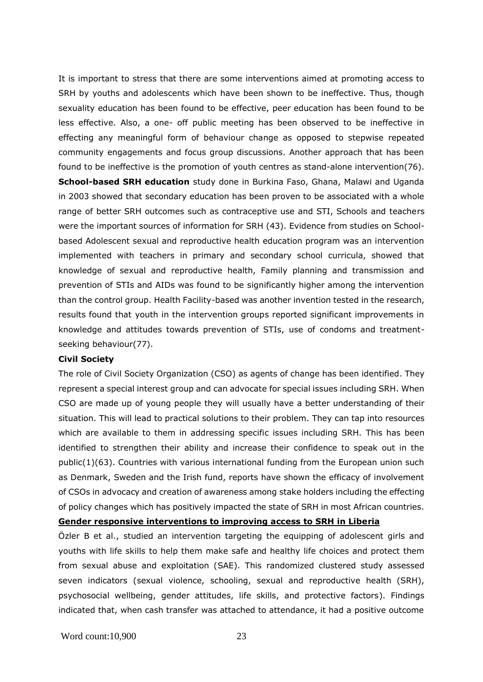It is important to stress that there are some interventions aimed at promoting access to SRH by youths and adolescents which have been shown to be ineffective. Thus, though sexuality education has been found to be effective, peer education has been found to be less effective. Also, a one- off public meeting has been observed to be ineffective in effecting any meaningful form of behaviour change as opposed to stepwise repeated community engagements and focus group discussions. Another approach that has been found to be ineffective is the promotion of youth centres as stand-alone intervention(76). **School-based SRH education** study done in Burkina Faso, Ghana, Malawi and Uganda in 2003 showed that secondary education has been proven to be associated with a whole range of better SRH outcomes such as contraceptive use and STI, Schools and teachers were the important sources of information for SRH (43). Evidence from studies on Schoolbased Adolescent sexual and reproductive health education program was an intervention implemented with teachers in primary and secondary school curricula, showed that knowledge of sexual and reproductive health, Family planning and transmission and prevention of STIs and AIDs was found to be significantly higher among the intervention than the control group. Health Facility-based was another invention tested in the research, results found that youth in the intervention groups reported significant improvements in knowledge and attitudes towards prevention of STIs, use of condoms and treatmentseeking behaviour(77).

#### **Civil Society**

The role of Civil Society Organization (CSO) as agents of change has been identified. They represent a special interest group and can advocate for special issues including SRH. When CSO are made up of young people they will usually have a better understanding of their situation. This will lead to practical solutions to their problem. They can tap into resources which are available to them in addressing specific issues including SRH. This has been identified to strengthen their ability and increase their confidence to speak out in the  $public(1)(63)$ . Countries with various international funding from the European union such as Denmark, Sweden and the Irish fund, reports have shown the efficacy of involvement of CSOs in advocacy and creation of awareness among stake holders including the effecting of policy changes which has positively impacted the state of SRH in most African countries.

### **Gender responsive interventions to improving access to SRH in Liberia**

Özler B et al., studied an intervention targeting the equipping of adolescent girls and youths with life skills to help them make safe and healthy life choices and protect them from sexual abuse and exploitation (SAE). This randomized clustered study assessed seven indicators (sexual violence, schooling, sexual and reproductive health (SRH), psychosocial wellbeing, gender attitudes, life skills, and protective factors). Findings indicated that, when cash transfer was attached to attendance, it had a positive outcome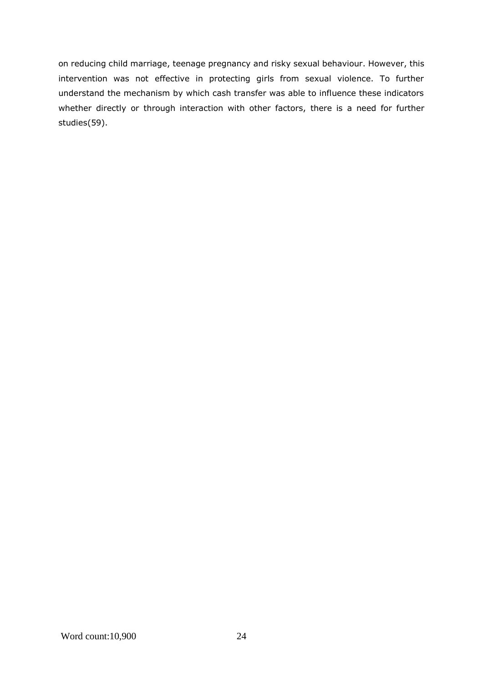on reducing child marriage, teenage pregnancy and risky sexual behaviour. However, this intervention was not effective in protecting girls from sexual violence. To further understand the mechanism by which cash transfer was able to influence these indicators whether directly or through interaction with other factors, there is a need for further studies(59).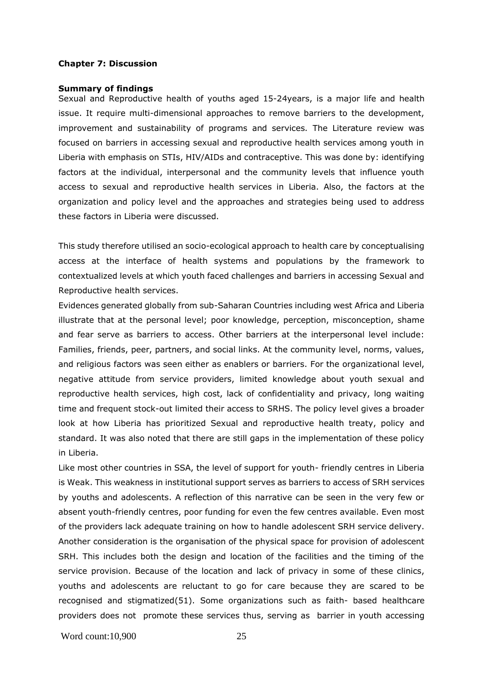#### <span id="page-32-0"></span>**Chapter 7: Discussion**

#### **Summary of findings**

Sexual and Reproductive health of youths aged 15-24years, is a major life and health issue. It require multi-dimensional approaches to remove barriers to the development, improvement and sustainability of programs and services. The Literature review was focused on barriers in accessing sexual and reproductive health services among youth in Liberia with emphasis on STIs, HIV/AIDs and contraceptive. This was done by: identifying factors at the individual, interpersonal and the community levels that influence youth access to sexual and reproductive health services in Liberia. Also, the factors at the organization and policy level and the approaches and strategies being used to address these factors in Liberia were discussed.

This study therefore utilised an socio-ecological approach to health care by conceptualising access at the interface of health systems and populations by the framework to contextualized levels at which youth faced challenges and barriers in accessing Sexual and Reproductive health services.

Evidences generated globally from sub-Saharan Countries including west Africa and Liberia illustrate that at the personal level; poor knowledge, perception, misconception, shame and fear serve as barriers to access. Other barriers at the interpersonal level include: Families, friends, peer, partners, and social links. At the community level, norms, values, and religious factors was seen either as enablers or barriers. For the organizational level, negative attitude from service providers, limited knowledge about youth sexual and reproductive health services, high cost, lack of confidentiality and privacy, long waiting time and frequent stock-out limited their access to SRHS. The policy level gives a broader look at how Liberia has prioritized Sexual and reproductive health treaty, policy and standard. It was also noted that there are still gaps in the implementation of these policy in Liberia.

Like most other countries in SSA, the level of support for youth- friendly centres in Liberia is Weak. This weakness in institutional support serves as barriers to access of SRH services by youths and adolescents. A reflection of this narrative can be seen in the very few or absent youth-friendly centres, poor funding for even the few centres available. Even most of the providers lack adequate training on how to handle adolescent SRH service delivery. Another consideration is the organisation of the physical space for provision of adolescent SRH. This includes both the design and location of the facilities and the timing of the service provision. Because of the location and lack of privacy in some of these clinics, youths and adolescents are reluctant to go for care because they are scared to be recognised and stigmatized(51). Some organizations such as faith- based healthcare providers does not promote these services thus, serving as barrier in youth accessing

Word count:10,900 25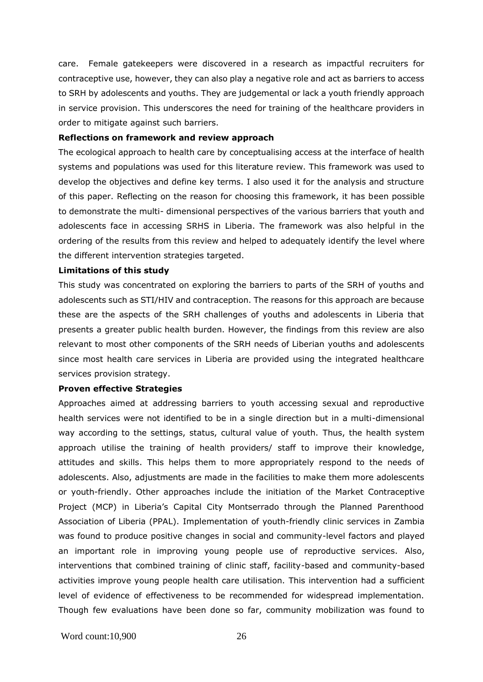care. Female gatekeepers were discovered in a research as impactful recruiters for contraceptive use, however, they can also play a negative role and act as barriers to access to SRH by adolescents and youths. They are judgemental or lack a youth friendly approach in service provision. This underscores the need for training of the healthcare providers in order to mitigate against such barriers.

#### **Reflections on framework and review approach**

The ecological approach to health care by conceptualising access at the interface of health systems and populations was used for this literature review. This framework was used to develop the objectives and define key terms. I also used it for the analysis and structure of this paper. Reflecting on the reason for choosing this framework, it has been possible to demonstrate the multi- dimensional perspectives of the various barriers that youth and adolescents face in accessing SRHS in Liberia. The framework was also helpful in the ordering of the results from this review and helped to adequately identify the level where the different intervention strategies targeted.

#### **Limitations of this study**

This study was concentrated on exploring the barriers to parts of the SRH of youths and adolescents such as STI/HIV and contraception. The reasons for this approach are because these are the aspects of the SRH challenges of youths and adolescents in Liberia that presents a greater public health burden. However, the findings from this review are also relevant to most other components of the SRH needs of Liberian youths and adolescents since most health care services in Liberia are provided using the integrated healthcare services provision strategy.

#### **Proven effective Strategies**

Approaches aimed at addressing barriers to youth accessing sexual and reproductive health services were not identified to be in a single direction but in a multi-dimensional way according to the settings, status, cultural value of youth. Thus, the health system approach utilise the training of health providers/ staff to improve their knowledge, attitudes and skills. This helps them to more appropriately respond to the needs of adolescents. Also, adjustments are made in the facilities to make them more adolescents or youth-friendly. Other approaches include the initiation of the Market Contraceptive Project (MCP) in Liberia's Capital City Montserrado through the Planned Parenthood Association of Liberia (PPAL). Implementation of youth-friendly clinic services in Zambia was found to produce positive changes in social and community-level factors and played an important role in improving young people use of reproductive services. Also, interventions that combined training of clinic staff, facility-based and community-based activities improve young people health care utilisation. This intervention had a sufficient level of evidence of effectiveness to be recommended for widespread implementation. Though few evaluations have been done so far, community mobilization was found to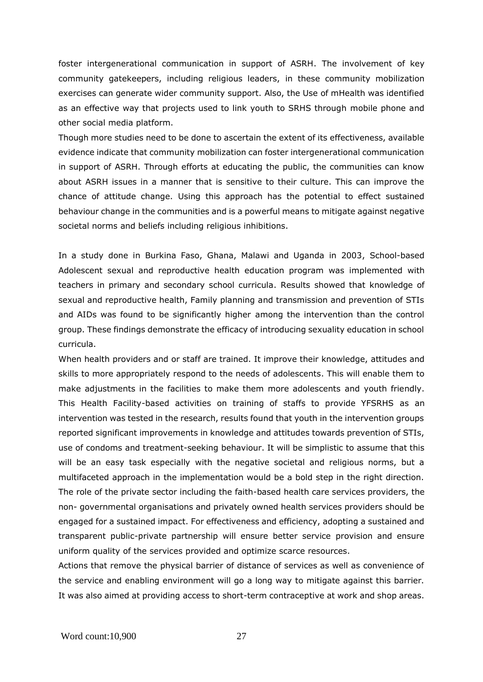foster intergenerational communication in support of ASRH. The involvement of key community gatekeepers, including religious leaders, in these community mobilization exercises can generate wider community support. Also, the Use of mHealth was identified as an effective way that projects used to link youth to SRHS through mobile phone and other social media platform.

Though more studies need to be done to ascertain the extent of its effectiveness, available evidence indicate that community mobilization can foster intergenerational communication in support of ASRH. Through efforts at educating the public, the communities can know about ASRH issues in a manner that is sensitive to their culture. This can improve the chance of attitude change. Using this approach has the potential to effect sustained behaviour change in the communities and is a powerful means to mitigate against negative societal norms and beliefs including religious inhibitions.

In a study done in Burkina Faso, Ghana, Malawi and Uganda in 2003, School-based Adolescent sexual and reproductive health education program was implemented with teachers in primary and secondary school curricula. Results showed that knowledge of sexual and reproductive health, Family planning and transmission and prevention of STIs and AIDs was found to be significantly higher among the intervention than the control group. These findings demonstrate the efficacy of introducing sexuality education in school curricula.

When health providers and or staff are trained. It improve their knowledge, attitudes and skills to more appropriately respond to the needs of adolescents. This will enable them to make adjustments in the facilities to make them more adolescents and youth friendly. This Health Facility-based activities on training of staffs to provide YFSRHS as an intervention was tested in the research, results found that youth in the intervention groups reported significant improvements in knowledge and attitudes towards prevention of STIs, use of condoms and treatment-seeking behaviour. It will be simplistic to assume that this will be an easy task especially with the negative societal and religious norms, but a multifaceted approach in the implementation would be a bold step in the right direction. The role of the private sector including the faith-based health care services providers, the non- governmental organisations and privately owned health services providers should be engaged for a sustained impact. For effectiveness and efficiency, adopting a sustained and transparent public-private partnership will ensure better service provision and ensure uniform quality of the services provided and optimize scarce resources.

Actions that remove the physical barrier of distance of services as well as convenience of the service and enabling environment will go a long way to mitigate against this barrier. It was also aimed at providing access to short-term contraceptive at work and shop areas.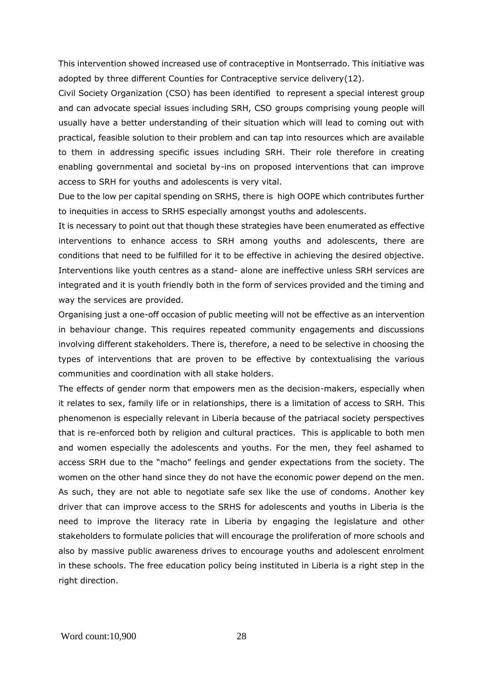This intervention showed increased use of contraceptive in Montserrado. This initiative was adopted by three different Counties for Contraceptive service delivery(12).

Civil Society Organization (CSO) has been identified to represent a special interest group and can advocate special issues including SRH, CSO groups comprising young people will usually have a better understanding of their situation which will lead to coming out with practical, feasible solution to their problem and can tap into resources which are available to them in addressing specific issues including SRH. Their role therefore in creating enabling governmental and societal by-ins on proposed interventions that can improve access to SRH for youths and adolescents is very vital.

Due to the low per capital spending on SRHS, there is high OOPE which contributes further to inequities in access to SRHS especially amongst youths and adolescents.

It is necessary to point out that though these strategies have been enumerated as effective interventions to enhance access to SRH among youths and adolescents, there are conditions that need to be fulfilled for it to be effective in achieving the desired objective. Interventions like youth centres as a stand- alone are ineffective unless SRH services are integrated and it is youth friendly both in the form of services provided and the timing and way the services are provided.

Organising just a one-off occasion of public meeting will not be effective as an intervention in behaviour change. This requires repeated community engagements and discussions involving different stakeholders. There is, therefore, a need to be selective in choosing the types of interventions that are proven to be effective by contextualising the various communities and coordination with all stake holders.

The effects of gender norm that empowers men as the decision-makers, especially when it relates to sex, family life or in relationships, there is a limitation of access to SRH. This phenomenon is especially relevant in Liberia because of the patriacal society perspectives that is re-enforced both by religion and cultural practices. This is applicable to both men and women especially the adolescents and youths. For the men, they feel ashamed to access SRH due to the "macho" feelings and gender expectations from the society. The women on the other hand since they do not have the economic power depend on the men. As such, they are not able to negotiate safe sex like the use of condoms. Another key driver that can improve access to the SRHS for adolescents and youths in Liberia is the need to improve the literacy rate in Liberia by engaging the legislature and other stakeholders to formulate policies that will encourage the proliferation of more schools and also by massive public awareness drives to encourage youths and adolescent enrolment in these schools. The free education policy being instituted in Liberia is a right step in the right direction.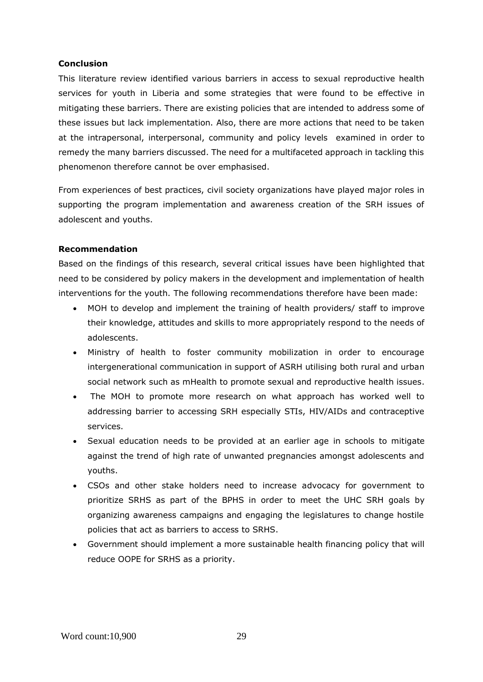## **Conclusion**

This literature review identified various barriers in access to sexual reproductive health services for youth in Liberia and some strategies that were found to be effective in mitigating these barriers. There are existing policies that are intended to address some of these issues but lack implementation. Also, there are more actions that need to be taken at the intrapersonal, interpersonal, community and policy levels examined in order to remedy the many barriers discussed. The need for a multifaceted approach in tackling this phenomenon therefore cannot be over emphasised.

From experiences of best practices, civil society organizations have played major roles in supporting the program implementation and awareness creation of the SRH issues of adolescent and youths.

## **Recommendation**

Based on the findings of this research, several critical issues have been highlighted that need to be considered by policy makers in the development and implementation of health interventions for the youth. The following recommendations therefore have been made:

- MOH to develop and implement the training of health providers/ staff to improve their knowledge, attitudes and skills to more appropriately respond to the needs of adolescents.
- Ministry of health to foster community mobilization in order to encourage intergenerational communication in support of ASRH utilising both rural and urban social network such as mHealth to promote sexual and reproductive health issues.
- The MOH to promote more research on what approach has worked well to addressing barrier to accessing SRH especially STIs, HIV/AIDs and contraceptive services.
- Sexual education needs to be provided at an earlier age in schools to mitigate against the trend of high rate of unwanted pregnancies amongst adolescents and youths.
- CSOs and other stake holders need to increase advocacy for government to prioritize SRHS as part of the BPHS in order to meet the UHC SRH goals by organizing awareness campaigns and engaging the legislatures to change hostile policies that act as barriers to access to SRHS.
- Government should implement a more sustainable health financing policy that will reduce OOPE for SRHS as a priority.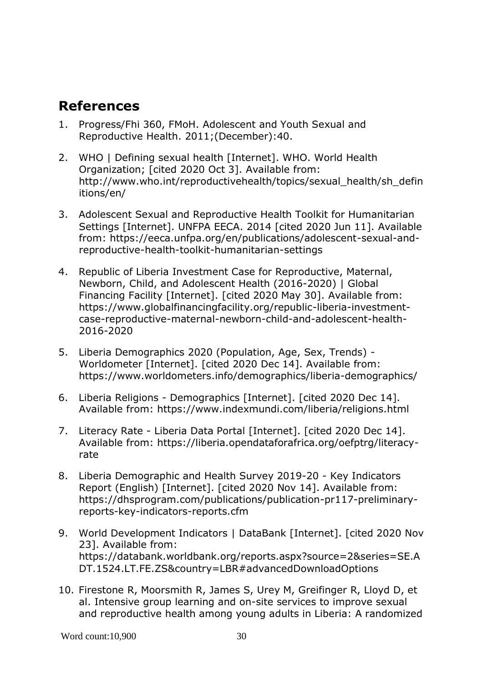## <span id="page-37-0"></span>**References**

- 1. Progress/Fhi 360, FMoH. Adolescent and Youth Sexual and Reproductive Health. 2011;(December):40.
- 2. WHO | Defining sexual health [Internet]. WHO. World Health Organization; [cited 2020 Oct 3]. Available from: http://www.who.int/reproductivehealth/topics/sexual\_health/sh\_defin itions/en/
- 3. Adolescent Sexual and Reproductive Health Toolkit for Humanitarian Settings [Internet]. UNFPA EECA. 2014 [cited 2020 Jun 11]. Available from: https://eeca.unfpa.org/en/publications/adolescent-sexual-andreproductive-health-toolkit-humanitarian-settings
- 4. Republic of Liberia Investment Case for Reproductive, Maternal, Newborn, Child, and Adolescent Health (2016-2020) | Global Financing Facility [Internet]. [cited 2020 May 30]. Available from: https://www.globalfinancingfacility.org/republic-liberia-investmentcase-reproductive-maternal-newborn-child-and-adolescent-health-2016-2020
- 5. Liberia Demographics 2020 (Population, Age, Sex, Trends) Worldometer [Internet]. [cited 2020 Dec 14]. Available from: https://www.worldometers.info/demographics/liberia-demographics/
- 6. Liberia Religions Demographics [Internet]. [cited 2020 Dec 14]. Available from: https://www.indexmundi.com/liberia/religions.html
- 7. Literacy Rate Liberia Data Portal [Internet]. [cited 2020 Dec 14]. Available from: https://liberia.opendataforafrica.org/oefptrg/literacyrate
- 8. Liberia Demographic and Health Survey 2019-20 Key Indicators Report (English) [Internet]. [cited 2020 Nov 14]. Available from: https://dhsprogram.com/publications/publication-pr117-preliminaryreports-key-indicators-reports.cfm
- 9. World Development Indicators | DataBank [Internet]. [cited 2020 Nov 23]. Available from: https://databank.worldbank.org/reports.aspx?source=2&series=SE.A DT.1524.LT.FE.ZS&country=LBR#advancedDownloadOptions
- 10. Firestone R, Moorsmith R, James S, Urey M, Greifinger R, Lloyd D, et al. Intensive group learning and on-site services to improve sexual and reproductive health among young adults in Liberia: A randomized

Word count:10,900 30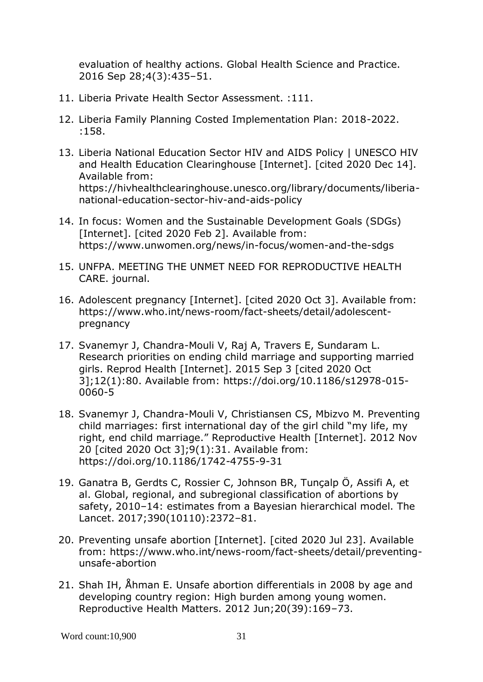evaluation of healthy actions. Global Health Science and Practice. 2016 Sep 28;4(3):435–51.

- 11. Liberia Private Health Sector Assessment. :111.
- 12. Liberia Family Planning Costed Implementation Plan: 2018-2022. :158.
- 13. Liberia National Education Sector HIV and AIDS Policy | UNESCO HIV and Health Education Clearinghouse [Internet]. [cited 2020 Dec 14]. Available from: https://hivhealthclearinghouse.unesco.org/library/documents/liberianational-education-sector-hiv-and-aids-policy
- 14. In focus: Women and the Sustainable Development Goals (SDGs) [Internet]. [cited 2020 Feb 2]. Available from: https://www.unwomen.org/news/in-focus/women-and-the-sdgs
- 15. UNFPA. MEETING THE UNMET NEED FOR REPRODUCTIVE HEALTH CARE. journal.
- 16. Adolescent pregnancy [Internet]. [cited 2020 Oct 3]. Available from: https://www.who.int/news-room/fact-sheets/detail/adolescentpregnancy
- 17. Svanemyr J, Chandra-Mouli V, Raj A, Travers E, Sundaram L. Research priorities on ending child marriage and supporting married girls. Reprod Health [Internet]. 2015 Sep 3 [cited 2020 Oct 3];12(1):80. Available from: https://doi.org/10.1186/s12978-015- 0060-5
- 18. Svanemyr J, Chandra-Mouli V, Christiansen CS, Mbizvo M. Preventing child marriages: first international day of the girl child "my life, my right, end child marriage." Reproductive Health [Internet]. 2012 Nov 20 [cited 2020 Oct 3];9(1):31. Available from: https://doi.org/10.1186/1742-4755-9-31
- 19. Ganatra B, Gerdts C, Rossier C, Johnson BR, Tunçalp Ö, Assifi A, et al. Global, regional, and subregional classification of abortions by safety, 2010–14: estimates from a Bayesian hierarchical model. The Lancet. 2017;390(10110):2372–81.
- 20. Preventing unsafe abortion [Internet]. [cited 2020 Jul 23]. Available from: https://www.who.int/news-room/fact-sheets/detail/preventingunsafe-abortion
- 21. Shah IH, Åhman E. Unsafe abortion differentials in 2008 by age and developing country region: High burden among young women. Reproductive Health Matters. 2012 Jun;20(39):169–73.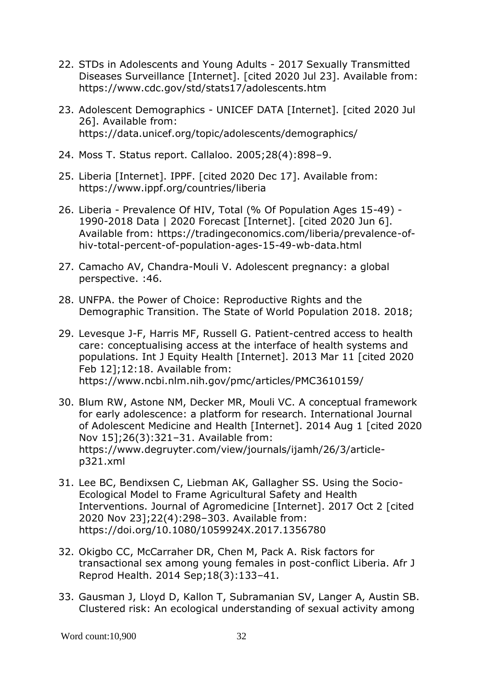- 22. STDs in Adolescents and Young Adults 2017 Sexually Transmitted Diseases Surveillance [Internet]. [cited 2020 Jul 23]. Available from: https://www.cdc.gov/std/stats17/adolescents.htm
- 23. Adolescent Demographics UNICEF DATA [Internet]. [cited 2020 Jul 26]. Available from: https://data.unicef.org/topic/adolescents/demographics/
- 24. Moss T. Status report. Callaloo. 2005;28(4):898–9.
- 25. Liberia [Internet]. IPPF. [cited 2020 Dec 17]. Available from: https://www.ippf.org/countries/liberia
- 26. Liberia Prevalence Of HIV, Total (% Of Population Ages 15-49) 1990-2018 Data | 2020 Forecast [Internet]. [cited 2020 Jun 6]. Available from: https://tradingeconomics.com/liberia/prevalence-ofhiv-total-percent-of-population-ages-15-49-wb-data.html
- 27. Camacho AV, Chandra-Mouli V. Adolescent pregnancy: a global perspective. :46.
- 28. UNFPA. the Power of Choice: Reproductive Rights and the Demographic Transition. The State of World Population 2018. 2018;
- 29. Levesque J-F, Harris MF, Russell G. Patient-centred access to health care: conceptualising access at the interface of health systems and populations. Int J Equity Health [Internet]. 2013 Mar 11 [cited 2020 Feb 12];12:18. Available from: https://www.ncbi.nlm.nih.gov/pmc/articles/PMC3610159/
- 30. Blum RW, Astone NM, Decker MR, Mouli VC. A conceptual framework for early adolescence: a platform for research. International Journal of Adolescent Medicine and Health [Internet]. 2014 Aug 1 [cited 2020 Nov 15];26(3):321–31. Available from: https://www.degruyter.com/view/journals/ijamh/26/3/articlep321.xml
- 31. Lee BC, Bendixsen C, Liebman AK, Gallagher SS. Using the Socio-Ecological Model to Frame Agricultural Safety and Health Interventions. Journal of Agromedicine [Internet]. 2017 Oct 2 [cited 2020 Nov 23];22(4):298–303. Available from: https://doi.org/10.1080/1059924X.2017.1356780
- 32. Okigbo CC, McCarraher DR, Chen M, Pack A. Risk factors for transactional sex among young females in post-conflict Liberia. Afr J Reprod Health. 2014 Sep;18(3):133–41.
- 33. Gausman J, Lloyd D, Kallon T, Subramanian SV, Langer A, Austin SB. Clustered risk: An ecological understanding of sexual activity among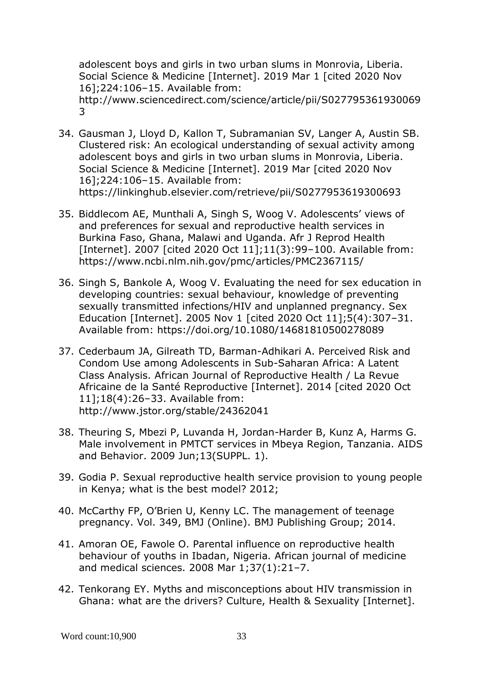adolescent boys and girls in two urban slums in Monrovia, Liberia. Social Science & Medicine [Internet]. 2019 Mar 1 [cited 2020 Nov 16];224:106–15. Available from: http://www.sciencedirect.com/science/article/pii/S027795361930069 3

- 34. Gausman J, Lloyd D, Kallon T, Subramanian SV, Langer A, Austin SB. Clustered risk: An ecological understanding of sexual activity among adolescent boys and girls in two urban slums in Monrovia, Liberia. Social Science & Medicine [Internet]. 2019 Mar [cited 2020 Nov 16];224:106–15. Available from: https://linkinghub.elsevier.com/retrieve/pii/S0277953619300693
- 35. Biddlecom AE, Munthali A, Singh S, Woog V. Adolescents' views of and preferences for sexual and reproductive health services in Burkina Faso, Ghana, Malawi and Uganda. Afr J Reprod Health [Internet]. 2007 [cited 2020 Oct 11];11(3):99-100. Available from: https://www.ncbi.nlm.nih.gov/pmc/articles/PMC2367115/
- 36. Singh S, Bankole A, Woog V. Evaluating the need for sex education in developing countries: sexual behaviour, knowledge of preventing sexually transmitted infections/HIV and unplanned pregnancy. Sex Education [Internet]. 2005 Nov 1 [cited 2020 Oct 11];5(4):307–31. Available from: https://doi.org/10.1080/14681810500278089
- 37. Cederbaum JA, Gilreath TD, Barman-Adhikari A. Perceived Risk and Condom Use among Adolescents in Sub-Saharan Africa: A Latent Class Analysis. African Journal of Reproductive Health / La Revue Africaine de la Santé Reproductive [Internet]. 2014 [cited 2020 Oct 11];18(4):26–33. Available from: http://www.jstor.org/stable/24362041
- 38. Theuring S, Mbezi P, Luvanda H, Jordan-Harder B, Kunz A, Harms G. Male involvement in PMTCT services in Mbeya Region, Tanzania. AIDS and Behavior. 2009 Jun;13(SUPPL. 1).
- 39. Godia P. Sexual reproductive health service provision to young people in Kenya; what is the best model? 2012;
- 40. McCarthy FP, O'Brien U, Kenny LC. The management of teenage pregnancy. Vol. 349, BMJ (Online). BMJ Publishing Group; 2014.
- 41. Amoran OE, Fawole O. Parental influence on reproductive health behaviour of youths in Ibadan, Nigeria. African journal of medicine and medical sciences. 2008 Mar 1;37(1):21–7.
- 42. Tenkorang EY. Myths and misconceptions about HIV transmission in Ghana: what are the drivers? Culture, Health & Sexuality [Internet].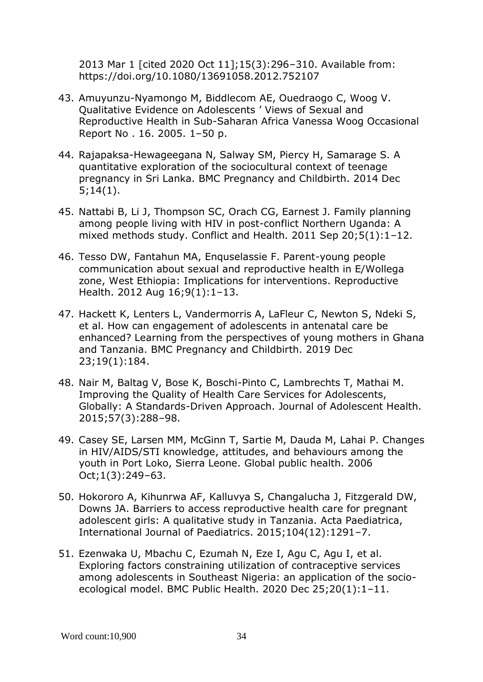2013 Mar 1 [cited 2020 Oct 11];15(3):296–310. Available from: https://doi.org/10.1080/13691058.2012.752107

- 43. Amuyunzu-Nyamongo M, Biddlecom AE, Ouedraogo C, Woog V. Qualitative Evidence on Adolescents ' Views of Sexual and Reproductive Health in Sub-Saharan Africa Vanessa Woog Occasional Report No . 16. 2005. 1–50 p.
- 44. Rajapaksa-Hewageegana N, Salway SM, Piercy H, Samarage S. A quantitative exploration of the sociocultural context of teenage pregnancy in Sri Lanka. BMC Pregnancy and Childbirth. 2014 Dec 5;14(1).
- 45. Nattabi B, Li J, Thompson SC, Orach CG, Earnest J. Family planning among people living with HIV in post-conflict Northern Uganda: A mixed methods study. Conflict and Health. 2011 Sep 20;5(1):1–12.
- 46. Tesso DW, Fantahun MA, Enquselassie F. Parent-young people communication about sexual and reproductive health in E/Wollega zone, West Ethiopia: Implications for interventions. Reproductive Health. 2012 Aug 16;9(1):1–13.
- 47. Hackett K, Lenters L, Vandermorris A, LaFleur C, Newton S, Ndeki S, et al. How can engagement of adolescents in antenatal care be enhanced? Learning from the perspectives of young mothers in Ghana and Tanzania. BMC Pregnancy and Childbirth. 2019 Dec 23;19(1):184.
- 48. Nair M, Baltag V, Bose K, Boschi-Pinto C, Lambrechts T, Mathai M. Improving the Quality of Health Care Services for Adolescents, Globally: A Standards-Driven Approach. Journal of Adolescent Health. 2015;57(3):288–98.
- 49. Casey SE, Larsen MM, McGinn T, Sartie M, Dauda M, Lahai P. Changes in HIV/AIDS/STI knowledge, attitudes, and behaviours among the youth in Port Loko, Sierra Leone. Global public health. 2006 Oct;1(3):249–63.
- 50. Hokororo A, Kihunrwa AF, Kalluvya S, Changalucha J, Fitzgerald DW, Downs JA. Barriers to access reproductive health care for pregnant adolescent girls: A qualitative study in Tanzania. Acta Paediatrica, International Journal of Paediatrics. 2015;104(12):1291–7.
- 51. Ezenwaka U, Mbachu C, Ezumah N, Eze I, Agu C, Agu I, et al. Exploring factors constraining utilization of contraceptive services among adolescents in Southeast Nigeria: an application of the socioecological model. BMC Public Health. 2020 Dec 25;20(1):1–11.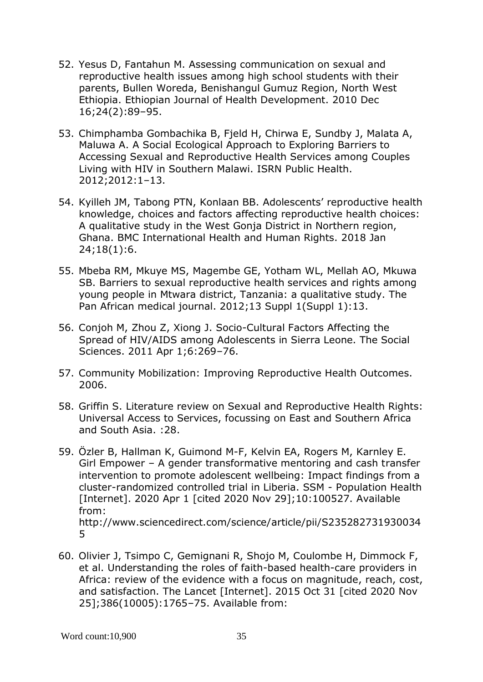- 52. Yesus D, Fantahun M. Assessing communication on sexual and reproductive health issues among high school students with their parents, Bullen Woreda, Benishangul Gumuz Region, North West Ethiopia. Ethiopian Journal of Health Development. 2010 Dec 16;24(2):89–95.
- 53. Chimphamba Gombachika B, Fjeld H, Chirwa E, Sundby J, Malata A, Maluwa A. A Social Ecological Approach to Exploring Barriers to Accessing Sexual and Reproductive Health Services among Couples Living with HIV in Southern Malawi. ISRN Public Health. 2012;2012:1–13.
- 54. Kyilleh JM, Tabong PTN, Konlaan BB. Adolescents' reproductive health knowledge, choices and factors affecting reproductive health choices: A qualitative study in the West Gonja District in Northern region, Ghana. BMC International Health and Human Rights. 2018 Jan 24;18(1):6.
- 55. Mbeba RM, Mkuye MS, Magembe GE, Yotham WL, Mellah AO, Mkuwa SB. Barriers to sexual reproductive health services and rights among young people in Mtwara district, Tanzania: a qualitative study. The Pan African medical journal. 2012;13 Suppl 1(Suppl 1):13.
- 56. Conjoh M, Zhou Z, Xiong J. Socio-Cultural Factors Affecting the Spread of HIV/AIDS among Adolescents in Sierra Leone. The Social Sciences. 2011 Apr 1;6:269–76.
- 57. Community Mobilization: Improving Reproductive Health Outcomes. 2006.
- 58. Griffin S. Literature review on Sexual and Reproductive Health Rights: Universal Access to Services, focussing on East and Southern Africa and South Asia. :28.
- 59. Özler B, Hallman K, Guimond M-F, Kelvin EA, Rogers M, Karnley E. Girl Empower – A gender transformative mentoring and cash transfer intervention to promote adolescent wellbeing: Impact findings from a cluster-randomized controlled trial in Liberia. SSM - Population Health [Internet]. 2020 Apr 1 [cited 2020 Nov 29];10:100527. Available from: http://www.sciencedirect.com/science/article/pii/S235282731930034 5
- 60. Olivier J, Tsimpo C, Gemignani R, Shojo M, Coulombe H, Dimmock F, et al. Understanding the roles of faith-based health-care providers in Africa: review of the evidence with a focus on magnitude, reach, cost, and satisfaction. The Lancet [Internet]. 2015 Oct 31 [cited 2020 Nov 25];386(10005):1765–75. Available from: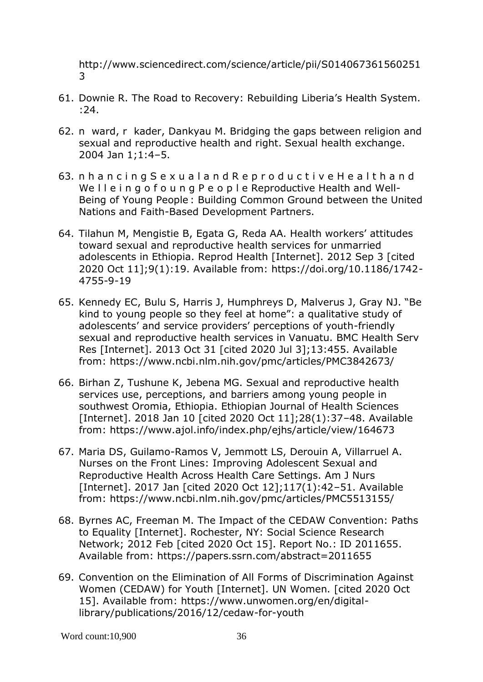http://www.sciencedirect.com/science/article/pii/S014067361560251 3

- 61. Downie R. The Road to Recovery: Rebuilding Liberia's Health System. :24.
- 62. n ward, r kader, Dankyau M. Bridging the gaps between religion and sexual and reproductive health and right. Sexual health exchange. 2004 Jan 1;1:4–5.
- 63. n h a n c i n g S e x u a l a n d R e p r o d u c t i v e H e a l t h a n d We I le in g o f o u n g P e o p l e Reproductive Health and Well-Being of Young People : Building Common Ground between the United Nations and Faith-Based Development Partners.
- 64. Tilahun M, Mengistie B, Egata G, Reda AA. Health workers' attitudes toward sexual and reproductive health services for unmarried adolescents in Ethiopia. Reprod Health [Internet]. 2012 Sep 3 [cited 2020 Oct 11];9(1):19. Available from: https://doi.org/10.1186/1742- 4755-9-19
- 65. Kennedy EC, Bulu S, Harris J, Humphreys D, Malverus J, Gray NJ. "Be kind to young people so they feel at home": a qualitative study of adolescents' and service providers' perceptions of youth-friendly sexual and reproductive health services in Vanuatu. BMC Health Serv Res [Internet]. 2013 Oct 31 [cited 2020 Jul 3];13:455. Available from: https://www.ncbi.nlm.nih.gov/pmc/articles/PMC3842673/
- 66. Birhan Z, Tushune K, Jebena MG. Sexual and reproductive health services use, perceptions, and barriers among young people in southwest Oromia, Ethiopia. Ethiopian Journal of Health Sciences [Internet]. 2018 Jan 10 [cited 2020 Oct 11];28(1):37–48. Available from: https://www.ajol.info/index.php/ejhs/article/view/164673
- 67. Maria DS, Guilamo-Ramos V, Jemmott LS, Derouin A, Villarruel A. Nurses on the Front Lines: Improving Adolescent Sexual and Reproductive Health Across Health Care Settings. Am J Nurs [Internet]. 2017 Jan [cited 2020 Oct 12];117(1):42–51. Available from: https://www.ncbi.nlm.nih.gov/pmc/articles/PMC5513155/
- 68. Byrnes AC, Freeman M. The Impact of the CEDAW Convention: Paths to Equality [Internet]. Rochester, NY: Social Science Research Network; 2012 Feb [cited 2020 Oct 15]. Report No.: ID 2011655. Available from: https://papers.ssrn.com/abstract=2011655
- 69. Convention on the Elimination of All Forms of Discrimination Against Women (CEDAW) for Youth [Internet]. UN Women. [cited 2020 Oct 15]. Available from: https://www.unwomen.org/en/digitallibrary/publications/2016/12/cedaw-for-youth

Word count:10,900 36